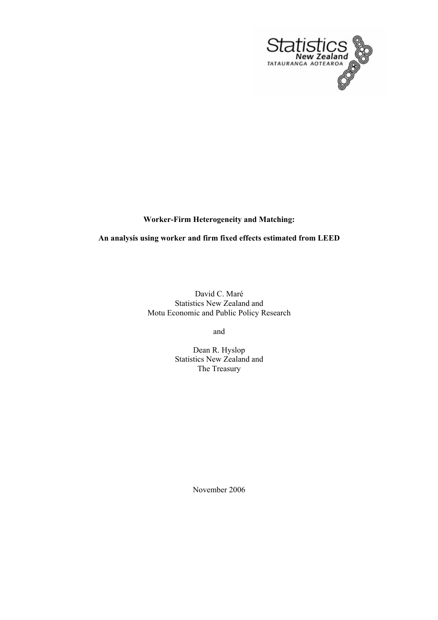

# **Worker-Firm Heterogeneity and Matching:**

## **An analysis using worker and firm fixed effects estimated from LEED**

David C. Maré Statistics New Zealand and Motu Economic and Public Policy Research

and

Dean R. Hyslop Statistics New Zealand and The Treasury

November 2006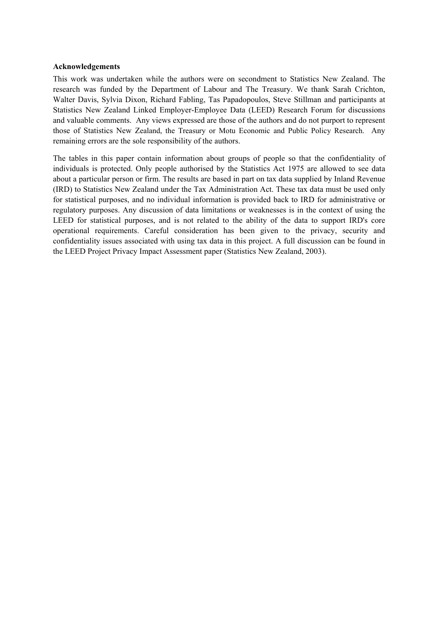#### **Acknowledgements**

This work was undertaken while the authors were on secondment to Statistics New Zealand. The research was funded by the Department of Labour and The Treasury. We thank Sarah Crichton, Walter Davis, Sylvia Dixon, Richard Fabling, Tas Papadopoulos, Steve Stillman and participants at Statistics New Zealand Linked Employer-Employee Data (LEED) Research Forum for discussions and valuable comments. Any views expressed are those of the authors and do not purport to represent those of Statistics New Zealand, the Treasury or Motu Economic and Public Policy Research. Any remaining errors are the sole responsibility of the authors.

The tables in this paper contain information about groups of people so that the confidentiality of individuals is protected. Only people authorised by the Statistics Act 1975 are allowed to see data about a particular person or firm. The results are based in part on tax data supplied by Inland Revenue (IRD) to Statistics New Zealand under the Tax Administration Act. These tax data must be used only for statistical purposes, and no individual information is provided back to IRD for administrative or regulatory purposes. Any discussion of data limitations or weaknesses is in the context of using the LEED for statistical purposes, and is not related to the ability of the data to support IRD's core operational requirements. Careful consideration has been given to the privacy, security and confidentiality issues associated with using tax data in this project. A full discussion can be found in the LEED Project Privacy Impact Assessment paper (Statistics New Zealand, 2003).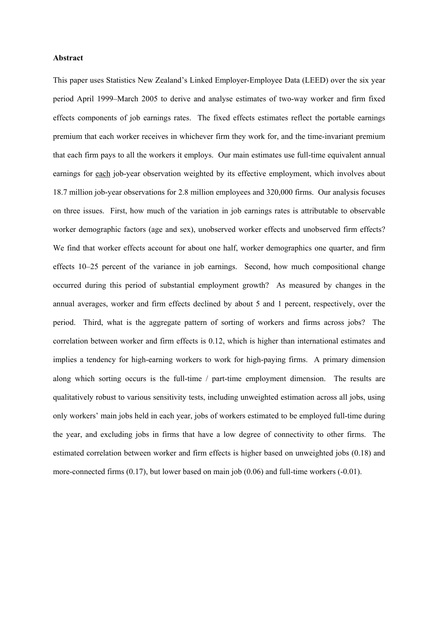#### **Abstract**

This paper uses Statistics New Zealand's Linked Employer-Employee Data (LEED) over the six year period April 1999–March 2005 to derive and analyse estimates of two-way worker and firm fixed effects components of job earnings rates. The fixed effects estimates reflect the portable earnings premium that each worker receives in whichever firm they work for, and the time-invariant premium that each firm pays to all the workers it employs. Our main estimates use full-time equivalent annual earnings for each job-year observation weighted by its effective employment, which involves about 18.7 million job-year observations for 2.8 million employees and 320,000 firms. Our analysis focuses on three issues. First, how much of the variation in job earnings rates is attributable to observable worker demographic factors (age and sex), unobserved worker effects and unobserved firm effects? We find that worker effects account for about one half, worker demographics one quarter, and firm effects 10–25 percent of the variance in job earnings. Second, how much compositional change occurred during this period of substantial employment growth? As measured by changes in the annual averages, worker and firm effects declined by about 5 and 1 percent, respectively, over the period. Third, what is the aggregate pattern of sorting of workers and firms across jobs? The correlation between worker and firm effects is 0.12, which is higher than international estimates and implies a tendency for high-earning workers to work for high-paying firms. A primary dimension along which sorting occurs is the full-time / part-time employment dimension. The results are qualitatively robust to various sensitivity tests, including unweighted estimation across all jobs, using only workers' main jobs held in each year, jobs of workers estimated to be employed full-time during the year, and excluding jobs in firms that have a low degree of connectivity to other firms. The estimated correlation between worker and firm effects is higher based on unweighted jobs (0.18) and more-connected firms (0.17), but lower based on main job (0.06) and full-time workers (-0.01).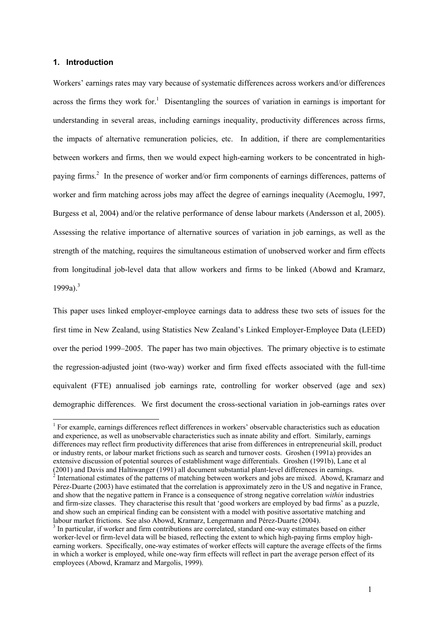### **1. Introduction**

 $\overline{\phantom{a}}$ 

Workers' earnings rates may vary because of systematic differences across workers and/or differences across the firms they work for.<sup>1</sup> Disentangling the sources of variation in earnings is important for understanding in several areas, including earnings inequality, productivity differences across firms, the impacts of alternative remuneration policies, etc. In addition, if there are complementarities between workers and firms, then we would expect high-earning workers to be concentrated in highpaying firms.<sup>2</sup> In the presence of worker and/or firm components of earnings differences, patterns of worker and firm matching across jobs may affect the degree of earnings inequality (Acemoglu, 1997, Burgess et al, 2004) and/or the relative performance of dense labour markets (Andersson et al, 2005). Assessing the relative importance of alternative sources of variation in job earnings, as well as the strength of the matching, requires the simultaneous estimation of unobserved worker and firm effects from longitudinal job-level data that allow workers and firms to be linked (Abowd and Kramarz,  $1999a$ ) $^{3}$ 

This paper uses linked employer-employee earnings data to address these two sets of issues for the first time in New Zealand, using Statistics New Zealand's Linked Employer-Employee Data (LEED) over the period 1999–2005. The paper has two main objectives. The primary objective is to estimate the regression-adjusted joint (two-way) worker and firm fixed effects associated with the full-time equivalent (FTE) annualised job earnings rate, controlling for worker observed (age and sex) demographic differences. We first document the cross-sectional variation in job-earnings rates over

 $<sup>1</sup>$  For example, earnings differences reflect differences in workers' observable characteristics such as education</sup> and experience, as well as unobservable characteristics such as innate ability and effort. Similarly, earnings differences may reflect firm productivity differences that arise from differences in entrepreneurial skill, product or industry rents, or labour market frictions such as search and turnover costs. Groshen (1991a) provides an extensive discussion of potential sources of establishment wage differentials. Groshen (1991b), Lane et al

<sup>(2001)</sup> and Davis and Haltiwanger (1991) all document substantial plant-level differences in earnings.<br><sup>2</sup> International estimates of the patterns of matching between workers and jobs are mixed. Abowd, Kramarz and Pérez-Duarte (2003) have estimated that the correlation is approximately zero in the US and negative in France, and show that the negative pattern in France is a consequence of strong negative correlation *within* industries and firm-size classes. They characterise this result that 'good workers are employed by bad firms' as a puzzle, and show such an empirical finding can be consistent with a model with positive assortative matching and labour market frictions. See also Abowd, Kramarz, Lengermann and Pérez-Duarte (2004).

<sup>&</sup>lt;sup>3</sup> In particular, if worker and firm contributions are correlated, standard one-way estimates based on either worker-level or firm-level data will be biased, reflecting the extent to which high-paying firms employ highearning workers. Specifically, one-way estimates of worker effects will capture the average effects of the firms in which a worker is employed, while one-way firm effects will reflect in part the average person effect of its employees (Abowd, Kramarz and Margolis, 1999).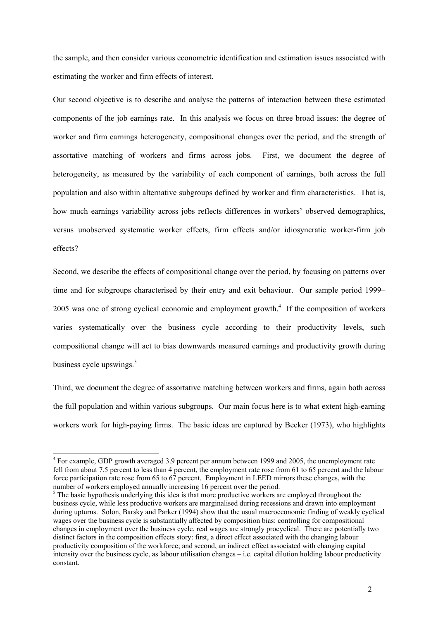the sample, and then consider various econometric identification and estimation issues associated with estimating the worker and firm effects of interest.

Our second objective is to describe and analyse the patterns of interaction between these estimated components of the job earnings rate. In this analysis we focus on three broad issues: the degree of worker and firm earnings heterogeneity, compositional changes over the period, and the strength of assortative matching of workers and firms across jobs. First, we document the degree of heterogeneity, as measured by the variability of each component of earnings, both across the full population and also within alternative subgroups defined by worker and firm characteristics. That is, how much earnings variability across jobs reflects differences in workers' observed demographics, versus unobserved systematic worker effects, firm effects and/or idiosyncratic worker-firm job effects?

Second, we describe the effects of compositional change over the period, by focusing on patterns over time and for subgroups characterised by their entry and exit behaviour. Our sample period 1999– 2005 was one of strong cyclical economic and employment growth.<sup>4</sup> If the composition of workers varies systematically over the business cycle according to their productivity levels, such compositional change will act to bias downwards measured earnings and productivity growth during business cycle upswings.<sup>5</sup>

Third, we document the degree of assortative matching between workers and firms, again both across the full population and within various subgroups. Our main focus here is to what extent high-earning workers work for high-paying firms. The basic ideas are captured by Becker (1973), who highlights

<sup>&</sup>lt;sup>4</sup> For example, GDP growth averaged 3.9 percent per annum between 1999 and 2005, the unemployment rate fell from about 7.5 percent to less than 4 percent, the employment rate rose from 61 to 65 percent and the labour force participation rate rose from 65 to 67 percent. Employment in LEED mirrors these changes, with the number of workers employed annually increasing 16 percent over the period.

<sup>&</sup>lt;sup>5</sup> The basic hypothesis underlying this idea is that more productive workers are employed throughout the business cycle, while less productive workers are marginalised during recessions and drawn into employment during upturns. Solon, Barsky and Parker (1994) show that the usual macroeconomic finding of weakly cyclical wages over the business cycle is substantially affected by composition bias: controlling for compositional changes in employment over the business cycle, real wages are strongly procyclical. There are potentially two distinct factors in the composition effects story: first, a direct effect associated with the changing labour productivity composition of the workforce; and second, an indirect effect associated with changing capital intensity over the business cycle, as labour utilisation changes – i.e. capital dilution holding labour productivity constant.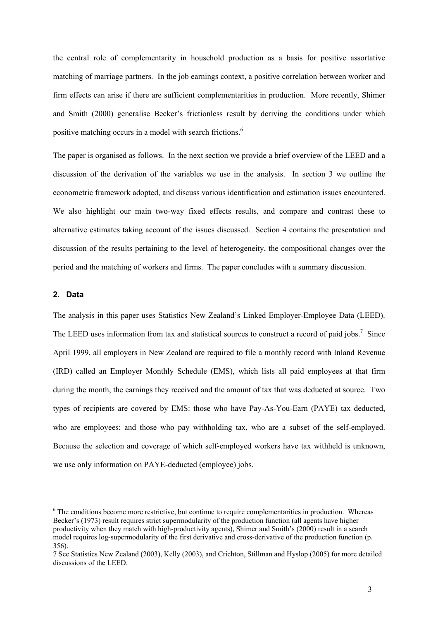the central role of complementarity in household production as a basis for positive assortative matching of marriage partners. In the job earnings context, a positive correlation between worker and firm effects can arise if there are sufficient complementarities in production. More recently, Shimer and Smith (2000) generalise Becker's frictionless result by deriving the conditions under which positive matching occurs in a model with search frictions.6

The paper is organised as follows. In the next section we provide a brief overview of the LEED and a discussion of the derivation of the variables we use in the analysis. In section 3 we outline the econometric framework adopted, and discuss various identification and estimation issues encountered. We also highlight our main two-way fixed effects results, and compare and contrast these to alternative estimates taking account of the issues discussed. Section 4 contains the presentation and discussion of the results pertaining to the level of heterogeneity, the compositional changes over the period and the matching of workers and firms. The paper concludes with a summary discussion.

### **2. Data**

l

The analysis in this paper uses Statistics New Zealand's Linked Employer-Employee Data (LEED). The LEED uses information from tax and statistical sources to construct a record of paid jobs.<sup>7</sup> Since April 1999, all employers in New Zealand are required to file a monthly record with Inland Revenue (IRD) called an Employer Monthly Schedule (EMS), which lists all paid employees at that firm during the month, the earnings they received and the amount of tax that was deducted at source. Two types of recipients are covered by EMS: those who have Pay-As-You-Earn (PAYE) tax deducted, who are employees; and those who pay withholding tax, who are a subset of the self-employed. Because the selection and coverage of which self-employed workers have tax withheld is unknown, we use only information on PAYE-deducted (employee) jobs.

<sup>&</sup>lt;sup>6</sup> The conditions become more restrictive, but continue to require complementarities in production. Whereas Becker's (1973) result requires strict supermodularity of the production function (all agents have higher productivity when they match with high-productivity agents), Shimer and Smith's (2000) result in a search model requires log-supermodularity of the first derivative and cross-derivative of the production function (p. 356).

<sup>7</sup> See Statistics New Zealand (2003), Kelly (2003), and Crichton, Stillman and Hyslop (2005) for more detailed discussions of the LEED.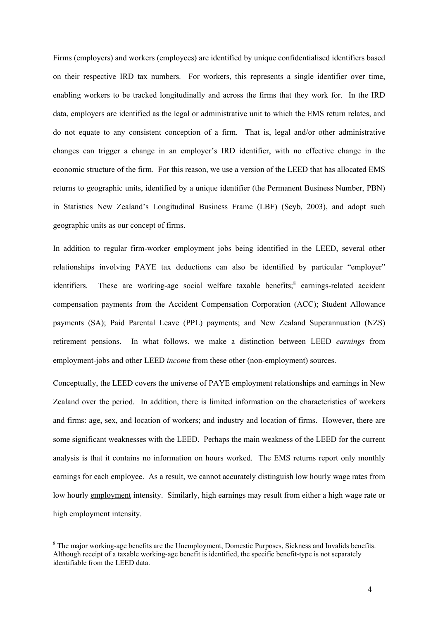Firms (employers) and workers (employees) are identified by unique confidentialised identifiers based on their respective IRD tax numbers. For workers, this represents a single identifier over time, enabling workers to be tracked longitudinally and across the firms that they work for. In the IRD data, employers are identified as the legal or administrative unit to which the EMS return relates, and do not equate to any consistent conception of a firm. That is, legal and/or other administrative changes can trigger a change in an employer's IRD identifier, with no effective change in the economic structure of the firm. For this reason, we use a version of the LEED that has allocated EMS returns to geographic units, identified by a unique identifier (the Permanent Business Number, PBN) in Statistics New Zealand's Longitudinal Business Frame (LBF) (Seyb, 2003), and adopt such geographic units as our concept of firms.

In addition to regular firm-worker employment jobs being identified in the LEED, several other relationships involving PAYE tax deductions can also be identified by particular "employer" identifiers. These are working-age social welfare taxable benefits;<sup>8</sup> earnings-related accident compensation payments from the Accident Compensation Corporation (ACC); Student Allowance payments (SA); Paid Parental Leave (PPL) payments; and New Zealand Superannuation (NZS) retirement pensions. In what follows, we make a distinction between LEED *earnings* from employment-jobs and other LEED *income* from these other (non-employment) sources.

Conceptually, the LEED covers the universe of PAYE employment relationships and earnings in New Zealand over the period. In addition, there is limited information on the characteristics of workers and firms: age, sex, and location of workers; and industry and location of firms. However, there are some significant weaknesses with the LEED. Perhaps the main weakness of the LEED for the current analysis is that it contains no information on hours worked. The EMS returns report only monthly earnings for each employee. As a result, we cannot accurately distinguish low hourly wage rates from low hourly employment intensity. Similarly, high earnings may result from either a high wage rate or high employment intensity.

<sup>&</sup>lt;sup>8</sup> The major working-age benefits are the Unemployment, Domestic Purposes, Sickness and Invalids benefits. Although receipt of a taxable working-age benefit is identified, the specific benefit-type is not separately identifiable from the LEED data.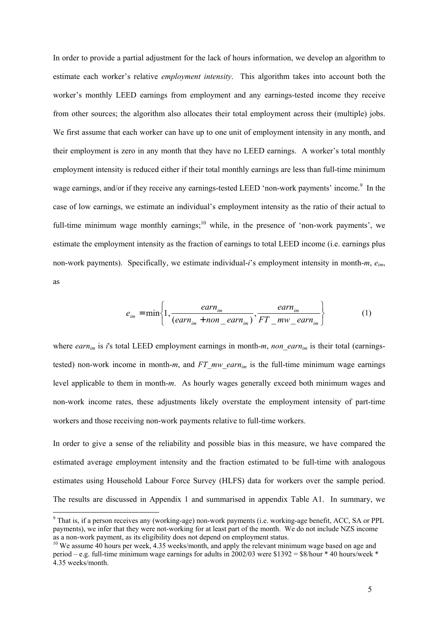In order to provide a partial adjustment for the lack of hours information, we develop an algorithm to estimate each worker's relative *employment intensity*. This algorithm takes into account both the worker's monthly LEED earnings from employment and any earnings-tested income they receive from other sources; the algorithm also allocates their total employment across their (multiple) jobs. We first assume that each worker can have up to one unit of employment intensity in any month, and their employment is zero in any month that they have no LEED earnings. A worker's total monthly employment intensity is reduced either if their total monthly earnings are less than full-time minimum wage earnings, and/or if they receive any earnings-tested LEED 'non-work payments' income.<sup>9</sup> In the case of low earnings, we estimate an individual's employment intensity as the ratio of their actual to full-time minimum wage monthly earnings;<sup>10</sup> while, in the presence of 'non-work payments', we estimate the employment intensity as the fraction of earnings to total LEED income (i.e. earnings plus non-work payments). Specifically, we estimate individual-*i*'s employment intensity in month-*m*, *eim*, as

$$
e_{im} = \min\left\{1, \frac{earn_{im}}{(earn_{im} + non\_earn_{im})}, \frac{earn_{im}}{FT\_mw\_earn_{im}}\right\}
$$
(1)

where *earn<sub>im</sub>* is *i*'s total LEED employment earnings in month-*m*, *non* earn<sub>im</sub> is their total (earningstested) non-work income in month- $m$ , and  $FT_mw$  earn<sub>im</sub> is the full-time minimum wage earnings level applicable to them in month-*m*. As hourly wages generally exceed both minimum wages and non-work income rates, these adjustments likely overstate the employment intensity of part-time workers and those receiving non-work payments relative to full-time workers.

In order to give a sense of the reliability and possible bias in this measure, we have compared the estimated average employment intensity and the fraction estimated to be full-time with analogous estimates using Household Labour Force Survey (HLFS) data for workers over the sample period. The results are discussed in Appendix 1 and summarised in appendix Table A1. In summary, we

<sup>&</sup>lt;sup>9</sup> That is, if a person receives any (working-age) non-work payments (i.e. working-age benefit, ACC, SA or PPL payments), we infer that they were not-working for at least part of the month. We do not include NZS income as a non-work payment, as its eligibility does not depend on employment status.

<sup>&</sup>lt;sup>10</sup> We assume 40 hours per week, 4.35 weeks/month, and apply the relevant minimum wage based on age and period – e.g. full-time minimum wage earnings for adults in 2002/03 were \$1392 =  $\frac{8}{\text{hour}}$  \* 40 hours/week \* 4.35 weeks/month.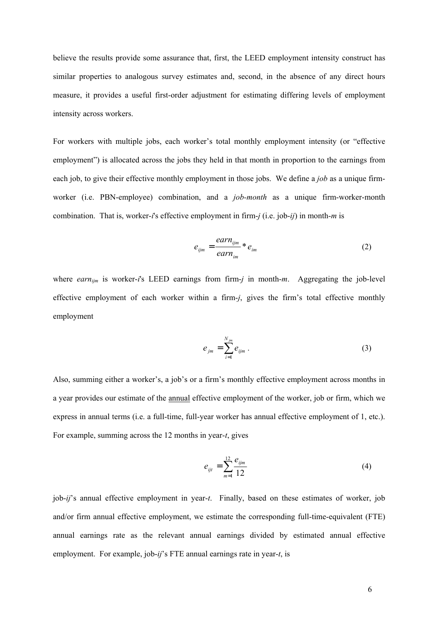believe the results provide some assurance that, first, the LEED employment intensity construct has similar properties to analogous survey estimates and, second, in the absence of any direct hours measure, it provides a useful first-order adjustment for estimating differing levels of employment intensity across workers.

For workers with multiple jobs, each worker's total monthly employment intensity (or "effective employment") is allocated across the jobs they held in that month in proportion to the earnings from each job, to give their effective monthly employment in those jobs. We define a *job* as a unique firmworker (i.e. PBN-employee) combination, and a *job-month* as a unique firm-worker-month combination. That is, worker-*i*'s effective employment in firm-*j* (i.e. job-*ij*) in month-*m* is

$$
e_{ijm} = \frac{earn_{ijm}}{earn_{im}} * e_{im}
$$
 (2)

where *earn<sub>im</sub>* is worker-*i*'s LEED earnings from firm-*j* in month-*m*. Aggregating the job-level effective employment of each worker within a firm-*j*, gives the firm's total effective monthly employment

$$
e_{jm} = \sum_{i=1}^{N_{jm}} e_{ijm} \,.
$$
 (3)

Also, summing either a worker's, a job's or a firm's monthly effective employment across months in a year provides our estimate of the annual effective employment of the worker, job or firm, which we express in annual terms (i.e. a full-time, full-year worker has annual effective employment of 1, etc.). For example, summing across the 12 months in year-*t*, gives

$$
e_{ijt} = \sum_{m=1}^{12} \frac{e_{ijm}}{12}
$$
 (4)

job-*ij*'s annual effective employment in year-*t*. Finally, based on these estimates of worker, job and/or firm annual effective employment, we estimate the corresponding full-time-equivalent (FTE) annual earnings rate as the relevant annual earnings divided by estimated annual effective employment. For example, job-*ij*'s FTE annual earnings rate in year-*t*, is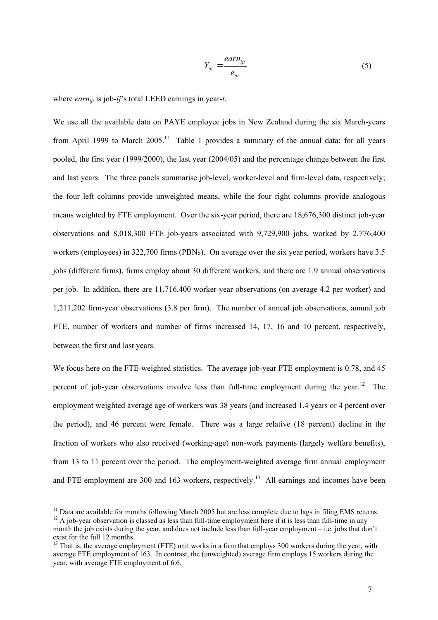$$
Y_{ijt} = \frac{earn_{ijt}}{e_{ijt}} \tag{5}
$$

where *earn*<sub>it</sub> is job-*ij*'s total LEED earnings in year-*t*.

We use all the available data on PAYE employee jobs in New Zealand during the six March-years from April 1999 to March 2005.<sup>11</sup> Table 1 provides a summary of the annual data: for all years pooled, the first year (1999/2000), the last year (2004/05) and the percentage change between the first and last years. The three panels summarise job-level, worker-level and firm-level data, respectively; the four left columns provide unweighted means, while the four right columns provide analogous means weighted by FTE employment. Over the six-year period, there are 18,676,300 distinct job-year observations and 8,018,300 FTE job-years associated with 9,729,900 jobs, worked by 2,776,400 workers (employees) in 322,700 firms (PBNs). On average over the six year period, workers have 3.5 jobs (different firms), firms employ about 30 different workers, and there are 1.9 annual observations per job. In addition, there are 11,716,400 worker-year observations (on average 4.2 per worker) and 1,211,202 firm-year observations (3.8 per firm). The number of annual job observations, annual job FTE, number of workers and number of firms increased 14, 17, 16 and 10 percent, respectively, between the first and last years.

We focus here on the FTE-weighted statistics. The average job-year FTE employment is 0.78, and 45 percent of job-year observations involve less than full-time employment during the year.<sup>12</sup> The employment weighted average age of workers was 38 years (and increased 1.4 years or 4 percent over the period), and 46 percent were female. There was a large relative (18 percent) decline in the fraction of workers who also received (working-age) non-work payments (largely welfare benefits), from 13 to 11 percent over the period. The employment-weighted average firm annual employment and FTE employment are 300 and 163 workers, respectively.<sup>13</sup> All earnings and incomes have been

<sup>&</sup>lt;sup>11</sup> Data are available for months following March 2005 but are less complete due to lags in filing EMS returns.  $12$  A job-year observation is classed as less than full-time employment here if it is less than full-time in any

month the job exists during the year, and does not include less than full-year employment – i.e. jobs that don't exist for the full 12 months.

 $13$  That is, the average employment (FTE) unit works in a firm that employs 300 workers during the year, with average FTE employment of 163. In contrast, the (unweighted) average firm employs 15 workers during the year, with average FTE employment of 6.6.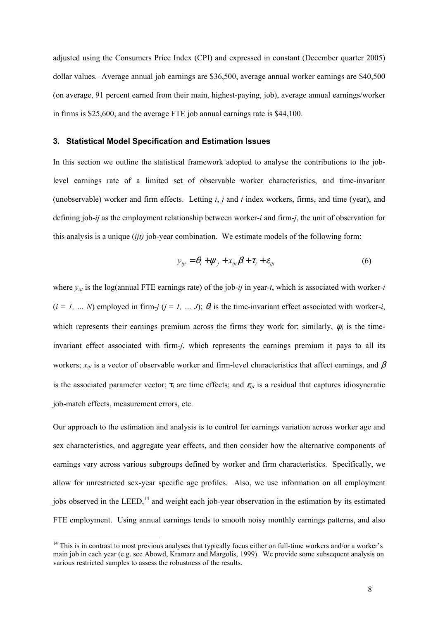adjusted using the Consumers Price Index (CPI) and expressed in constant (December quarter 2005) dollar values. Average annual job earnings are \$36,500, average annual worker earnings are \$40,500 (on average, 91 percent earned from their main, highest-paying, job), average annual earnings/worker in firms is \$25,600, and the average FTE job annual earnings rate is \$44,100.

### **3. Statistical Model Specification and Estimation Issues**

In this section we outline the statistical framework adopted to analyse the contributions to the joblevel earnings rate of a limited set of observable worker characteristics, and time-invariant (unobservable) worker and firm effects. Letting *i*, *j* and *t* index workers, firms, and time (year), and defining job-*ij* as the employment relationship between worker-*i* and firm-*j*, the unit of observation for this analysis is a unique (*ijt)* job-year combination. We estimate models of the following form:

$$
y_{ijt} = \theta_i + \psi_j + x_{ijt}\beta + \tau_t + \varepsilon_{ijt}
$$
 (6)

where  $y_{ijt}$  is the log(annual FTE earnings rate) of the job-*ij* in year-*t*, which is associated with worker-*i*  $(i = 1, \ldots N)$  employed in firm-*j*  $(j = 1, \ldots J)$ ;  $\theta_i$  is the time-invariant effect associated with worker-*i*, which represents their earnings premium across the firms they work for; similarly,  $\psi_i$  is the timeinvariant effect associated with firm-*j*, which represents the earnings premium it pays to all its workers;  $x_{ijt}$  is a vector of observable worker and firm-level characteristics that affect earnings, and  $\beta$ is the associated parameter vector;  $\tau_t$  are time effects; and  $\varepsilon_{ijt}$  is a residual that captures idiosyncratic job-match effects, measurement errors, etc.

Our approach to the estimation and analysis is to control for earnings variation across worker age and sex characteristics, and aggregate year effects, and then consider how the alternative components of earnings vary across various subgroups defined by worker and firm characteristics. Specifically, we allow for unrestricted sex-year specific age profiles. Also, we use information on all employment jobs observed in the LEED,<sup>14</sup> and weight each job-year observation in the estimation by its estimated FTE employment. Using annual earnings tends to smooth noisy monthly earnings patterns, and also

 $14$  This is in contrast to most previous analyses that typically focus either on full-time workers and/or a worker's main job in each year (e.g. see Abowd, Kramarz and Margolis, 1999). We provide some subsequent analysis on various restricted samples to assess the robustness of the results.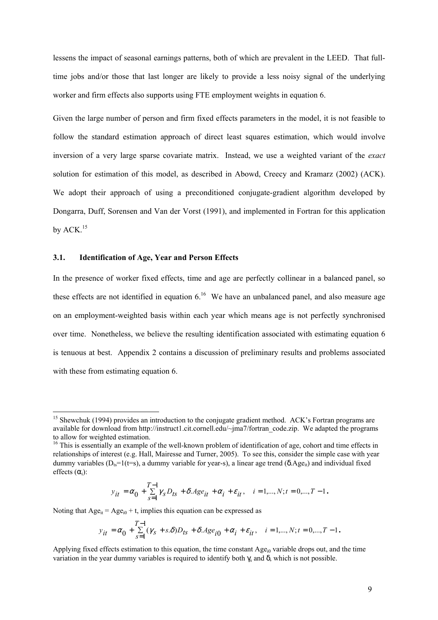lessens the impact of seasonal earnings patterns, both of which are prevalent in the LEED. That fulltime jobs and/or those that last longer are likely to provide a less noisy signal of the underlying worker and firm effects also supports using FTE employment weights in equation 6.

Given the large number of person and firm fixed effects parameters in the model, it is not feasible to follow the standard estimation approach of direct least squares estimation, which would involve inversion of a very large sparse covariate matrix. Instead, we use a weighted variant of the *exact* solution for estimation of this model, as described in Abowd, Creecy and Kramarz (2002) (ACK). We adopt their approach of using a preconditioned conjugate-gradient algorithm developed by Dongarra, Duff, Sorensen and Van der Vorst (1991), and implemented in Fortran for this application by  $ACK$ .<sup>15</sup>

#### **3.1. Identification of Age, Year and Person Effects**

 $\overline{\phantom{a}}$ 

In the presence of worker fixed effects, time and age are perfectly collinear in a balanced panel, so these effects are not identified in equation  $6^{16}$ . We have an unbalanced panel, and also measure age on an employment-weighted basis within each year which means age is not perfectly synchronised over time. Nonetheless, we believe the resulting identification associated with estimating equation 6 is tenuous at best. Appendix 2 contains a discussion of preliminary results and problems associated with these from estimating equation 6.

$$
y_{it}=\alpha_0+\sum_{s=1}^{T-1}\gamma_s D_{ts}+\delta.\text{Age}_{it}+\alpha_i+\varepsilon_{it},\quad i=1,...,N; t=0,...,T-1\,.
$$

Noting that  $Age_{it} = Age_{i0} + t$ , implies this equation can be expressed as

$$
y_{it}=\alpha_0+\sum_{s=1}^{T-1}(\gamma_s+s.\delta)D_{ts}+\delta.\mathit{Age}_{i0}+\alpha_i+\varepsilon_{it},\quad i=1,...,N; t=0,...,T-1.
$$

<sup>&</sup>lt;sup>15</sup> Shewchuk (1994) provides an introduction to the conjugate gradient method. ACK's Fortran programs are available for download from http://instruct1.cit.cornell.edu/~jma7/fortran\_code.zip. We adapted the programs to allow for weighted estimation.

<sup>&</sup>lt;sup>16</sup> This is essentially an example of the well-known problem of identification of age, cohort and time effects in relationships of interest (e.g. Hall, Mairesse and Turner, 2005). To see this, consider the simple case with year dummy variables ( $D_{ts}=1(t=s)$ , a dummy variable for year-s), a linear age trend ( $\delta \text{Age}_{it}$ ) and individual fixed effects  $(\alpha_i)$ :

Applying fixed effects estimation to this equation, the time constant Age<sub>i0</sub> variable drops out, and the time variation in the year dummy variables is required to identify both  $\gamma_s$  and  $\delta$ , which is not possible.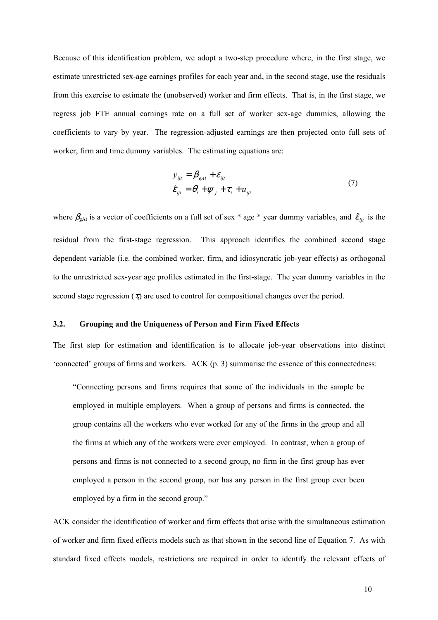Because of this identification problem, we adopt a two-step procedure where, in the first stage, we estimate unrestricted sex-age earnings profiles for each year and, in the second stage, use the residuals from this exercise to estimate the (unobserved) worker and firm effects. That is, in the first stage, we regress job FTE annual earnings rate on a full set of worker sex-age dummies, allowing the coefficients to vary by year. The regression-adjusted earnings are then projected onto full sets of worker, firm and time dummy variables. The estimating equations are:

$$
y_{ijt} = \beta_{gAt} + \varepsilon_{ijt}
$$
  

$$
\hat{\varepsilon}_{ijt} = \theta_i + \psi_j + \tau_t + u_{ijt}
$$
 (7)

where  $\beta_{gAt}$  is a vector of coefficients on a full set of sex \* age \* year dummy variables, and  $\hat{\varepsilon}_{ijt}$  is the residual from the first-stage regression. This approach identifies the combined second stage dependent variable (i.e. the combined worker, firm, and idiosyncratic job-year effects) as orthogonal to the unrestricted sex-year age profiles estimated in the first-stage. The year dummy variables in the second stage regression  $(\tau_t)$  are used to control for compositional changes over the period.

#### **3.2. Grouping and the Uniqueness of Person and Firm Fixed Effects**

The first step for estimation and identification is to allocate job-year observations into distinct 'connected' groups of firms and workers. ACK (p. 3) summarise the essence of this connectedness:

"Connecting persons and firms requires that some of the individuals in the sample be employed in multiple employers. When a group of persons and firms is connected, the group contains all the workers who ever worked for any of the firms in the group and all the firms at which any of the workers were ever employed. In contrast, when a group of persons and firms is not connected to a second group, no firm in the first group has ever employed a person in the second group, nor has any person in the first group ever been employed by a firm in the second group."

ACK consider the identification of worker and firm effects that arise with the simultaneous estimation of worker and firm fixed effects models such as that shown in the second line of Equation 7. As with standard fixed effects models, restrictions are required in order to identify the relevant effects of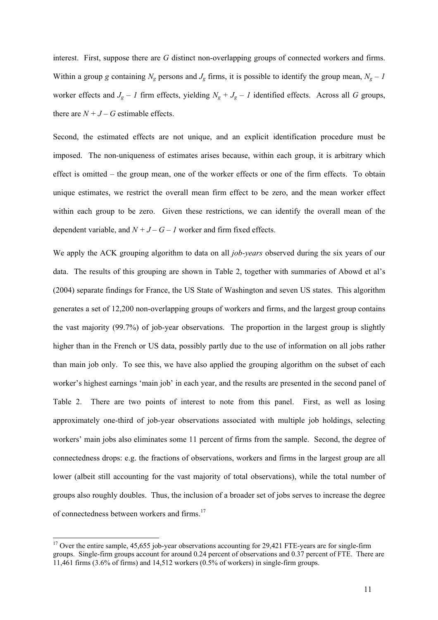interest. First, suppose there are *G* distinct non-overlapping groups of connected workers and firms. Within a group *g* containing  $N_g$  persons and  $J_g$  firms, it is possible to identify the group mean,  $N_g - I$ worker effects and  $J_g - I$  firm effects, yielding  $N_g + J_g - I$  identified effects. Across all *G* groups, there are  $N + J - G$  estimable effects.

Second, the estimated effects are not unique, and an explicit identification procedure must be imposed. The non-uniqueness of estimates arises because, within each group, it is arbitrary which effect is omitted – the group mean, one of the worker effects or one of the firm effects. To obtain unique estimates, we restrict the overall mean firm effect to be zero, and the mean worker effect within each group to be zero. Given these restrictions, we can identify the overall mean of the dependent variable, and  $N + J - G - I$  worker and firm fixed effects.

We apply the ACK grouping algorithm to data on all *job-years* observed during the six years of our data. The results of this grouping are shown in Table 2, together with summaries of Abowd et al's (2004) separate findings for France, the US State of Washington and seven US states. This algorithm generates a set of 12,200 non-overlapping groups of workers and firms, and the largest group contains the vast majority (99.7%) of job-year observations. The proportion in the largest group is slightly higher than in the French or US data, possibly partly due to the use of information on all jobs rather than main job only. To see this, we have also applied the grouping algorithm on the subset of each worker's highest earnings 'main job' in each year, and the results are presented in the second panel of Table 2. There are two points of interest to note from this panel. First, as well as losing approximately one-third of job-year observations associated with multiple job holdings, selecting workers' main jobs also eliminates some 11 percent of firms from the sample. Second, the degree of connectedness drops: e.g. the fractions of observations, workers and firms in the largest group are all lower (albeit still accounting for the vast majority of total observations), while the total number of groups also roughly doubles. Thus, the inclusion of a broader set of jobs serves to increase the degree of connectedness between workers and firms.<sup>17</sup>

 $17$  Over the entire sample, 45,655 job-year observations accounting for 29,421 FTE-years are for single-firm groups. Single-firm groups account for around 0.24 percent of observations and 0.37 percent of FTE. There are 11,461 firms (3.6% of firms) and 14,512 workers (0.5% of workers) in single-firm groups.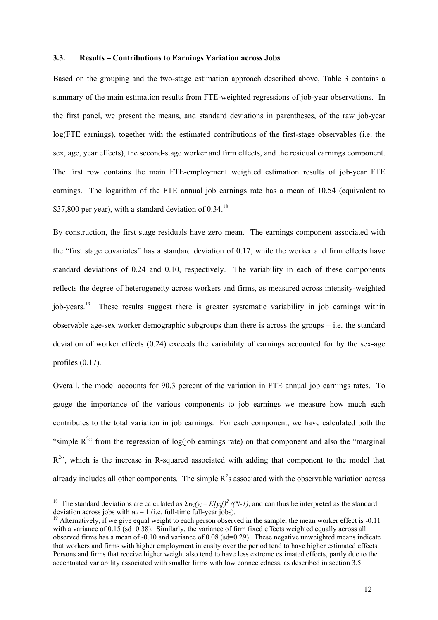#### **3.3. Results – Contributions to Earnings Variation across Jobs**

Based on the grouping and the two-stage estimation approach described above, Table 3 contains a summary of the main estimation results from FTE-weighted regressions of job-year observations. In the first panel, we present the means, and standard deviations in parentheses, of the raw job-year log(FTE earnings), together with the estimated contributions of the first-stage observables (i.e. the sex, age, year effects), the second-stage worker and firm effects, and the residual earnings component. The first row contains the main FTE-employment weighted estimation results of job-year FTE earnings. The logarithm of the FTE annual job earnings rate has a mean of 10.54 (equivalent to \$37,800 per year), with a standard deviation of  $0.34$ .<sup>18</sup>

By construction, the first stage residuals have zero mean. The earnings component associated with the "first stage covariates" has a standard deviation of 0.17, while the worker and firm effects have standard deviations of 0.24 and 0.10, respectively. The variability in each of these components reflects the degree of heterogeneity across workers and firms, as measured across intensity-weighted job-years.19 These results suggest there is greater systematic variability in job earnings within observable age-sex worker demographic subgroups than there is across the groups – i.e. the standard deviation of worker effects (0.24) exceeds the variability of earnings accounted for by the sex-age profiles (0.17).

Overall, the model accounts for 90.3 percent of the variation in FTE annual job earnings rates. To gauge the importance of the various components to job earnings we measure how much each contributes to the total variation in job earnings. For each component, we have calculated both the "simple  $R^{2n}$  from the regression of log(job earnings rate) on that component and also the "marginal"  $R<sup>2</sup>$ , which is the increase in R-squared associated with adding that component to the model that already includes all other components. The simple  $R^2$ s associated with the observable variation across

 $\overline{\phantom{a}}$ 

<sup>&</sup>lt;sup>18</sup> The standard deviations are calculated as  $\sum w_i(y_i - E[y_i])^2 / (N-1)$ , and can thus be interpreted as the standard deviation across jobs with  $w_i = 1$  (i.e. full-time full-year jobs).

<sup>&</sup>lt;sup>19</sup> Alternatively, if we give equal weight to each person observed in the sample, the mean worker effect is -0.11 with a variance of 0.15 (sd=0.38). Similarly, the variance of firm fixed effects weighted equally across all observed firms has a mean of -0.10 and variance of 0.08 (sd=0.29). These negative unweighted means indicate that workers and firms with higher employment intensity over the period tend to have higher estimated effects. Persons and firms that receive higher weight also tend to have less extreme estimated effects, partly due to the accentuated variability associated with smaller firms with low connectedness, as described in section 3.5.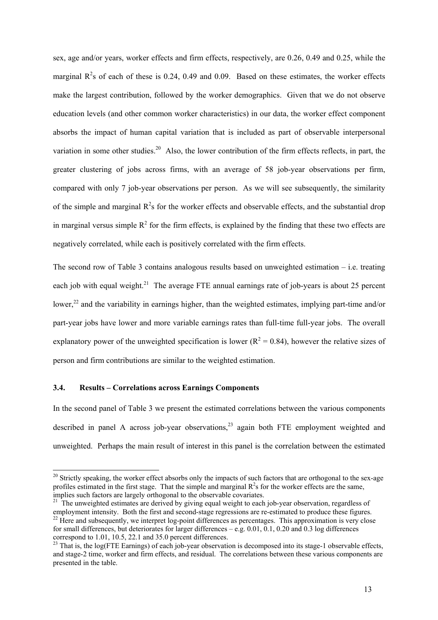sex, age and/or years, worker effects and firm effects, respectively, are 0.26, 0.49 and 0.25, while the marginal  $R^2$ s of each of these is 0.24, 0.49 and 0.09. Based on these estimates, the worker effects make the largest contribution, followed by the worker demographics. Given that we do not observe education levels (and other common worker characteristics) in our data, the worker effect component absorbs the impact of human capital variation that is included as part of observable interpersonal variation in some other studies.<sup>20</sup> Also, the lower contribution of the firm effects reflects, in part, the greater clustering of jobs across firms, with an average of 58 job-year observations per firm, compared with only 7 job-year observations per person. As we will see subsequently, the similarity of the simple and marginal  $R^2$ s for the worker effects and observable effects, and the substantial drop in marginal versus simple  $R^2$  for the firm effects, is explained by the finding that these two effects are negatively correlated, while each is positively correlated with the firm effects.

The second row of Table 3 contains analogous results based on unweighted estimation  $-$  i.e. treating each job with equal weight.<sup>21</sup> The average FTE annual earnings rate of job-years is about 25 percent lower,<sup>22</sup> and the variability in earnings higher, than the weighted estimates, implying part-time and/or part-year jobs have lower and more variable earnings rates than full-time full-year jobs. The overall explanatory power of the unweighted specification is lower ( $R^2 = 0.84$ ), however the relative sizes of person and firm contributions are similar to the weighted estimation.

#### **3.4. Results – Correlations across Earnings Components**

l

In the second panel of Table 3 we present the estimated correlations between the various components described in panel A across job-year observations,<sup>23</sup> again both FTE employment weighted and unweighted. Perhaps the main result of interest in this panel is the correlation between the estimated

<sup>&</sup>lt;sup>20</sup> Strictly speaking, the worker effect absorbs only the impacts of such factors that are orthogonal to the sex-age profiles estimated in the first stage. That the simple and marginal  $R^2$ s for the worker effects are the same,

implies such factors are largely orthogonal to the observable covariates.<br><sup>21</sup> The unweighted estimates are derived by giving equal weight to each job-year observation, regardless of employment intensity. Both the first a  $^{22}$  Here and subsequently, we interpret log-point differences as percentages. This approximation is very close for small differences, but deteriorates for larger differences – e.g. 0.01, 0.1, 0.20 and 0.3 log differences correspond to 1.01, 10.5, 22.1 and 35.0 percent differences.

 $^{23}$  That is, the log(FTE Earnings) of each job-year observation is decomposed into its stage-1 observable effects, and stage-2 time, worker and firm effects, and residual. The correlations between these various components are presented in the table.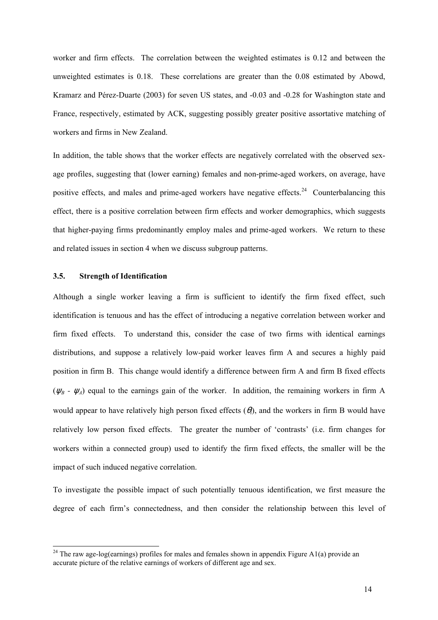worker and firm effects. The correlation between the weighted estimates is 0.12 and between the unweighted estimates is 0.18. These correlations are greater than the 0.08 estimated by Abowd, Kramarz and Pérez-Duarte (2003) for seven US states, and -0.03 and -0.28 for Washington state and France, respectively, estimated by ACK, suggesting possibly greater positive assortative matching of workers and firms in New Zealand.

In addition, the table shows that the worker effects are negatively correlated with the observed sexage profiles, suggesting that (lower earning) females and non-prime-aged workers, on average, have positive effects, and males and prime-aged workers have negative effects.<sup>24</sup> Counterbalancing this effect, there is a positive correlation between firm effects and worker demographics, which suggests that higher-paying firms predominantly employ males and prime-aged workers. We return to these and related issues in section 4 when we discuss subgroup patterns.

#### **3.5. Strength of Identification**

l

Although a single worker leaving a firm is sufficient to identify the firm fixed effect, such identification is tenuous and has the effect of introducing a negative correlation between worker and firm fixed effects. To understand this, consider the case of two firms with identical earnings distributions, and suppose a relatively low-paid worker leaves firm A and secures a highly paid position in firm B. This change would identify a difference between firm A and firm B fixed effects  $(\psi_B - \psi_A)$  equal to the earnings gain of the worker. In addition, the remaining workers in firm A would appear to have relatively high person fixed effects  $(\theta_i)$ , and the workers in firm B would have relatively low person fixed effects. The greater the number of 'contrasts' (i.e. firm changes for workers within a connected group) used to identify the firm fixed effects, the smaller will be the impact of such induced negative correlation.

To investigate the possible impact of such potentially tenuous identification, we first measure the degree of each firm's connectedness, and then consider the relationship between this level of

<sup>&</sup>lt;sup>24</sup> The raw age-log(earnings) profiles for males and females shown in appendix Figure A1(a) provide an accurate picture of the relative earnings of workers of different age and sex.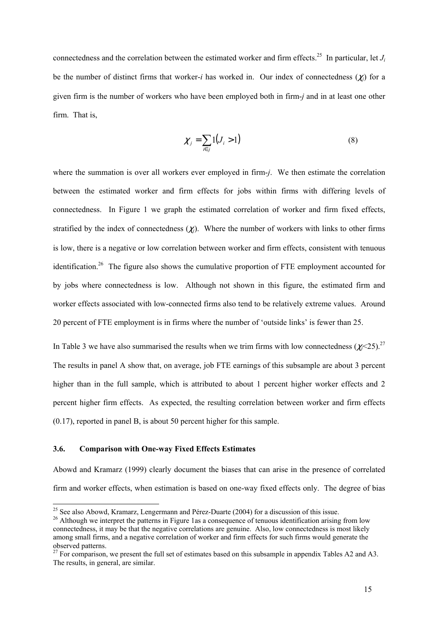connectedness and the correlation between the estimated worker and firm effects.<sup>25</sup> In particular, let  $J_i$ be the number of distinct firms that worker-*i* has worked in. Our index of connectedness (χ*j*) for a given firm is the number of workers who have been employed both in firm-*j* and in at least one other firm. That is,

$$
\chi_j = \sum_{i \in j} 1(J_i > 1) \tag{8}
$$

where the summation is over all workers ever employed in firm-*j*. We then estimate the correlation between the estimated worker and firm effects for jobs within firms with differing levels of connectedness. In Figure 1 we graph the estimated correlation of worker and firm fixed effects, stratified by the index of connectedness  $(\chi_i)$ . Where the number of workers with links to other firms is low, there is a negative or low correlation between worker and firm effects, consistent with tenuous identification.<sup>26</sup> The figure also shows the cumulative proportion of FTE employment accounted for by jobs where connectedness is low. Although not shown in this figure, the estimated firm and worker effects associated with low-connected firms also tend to be relatively extreme values. Around 20 percent of FTE employment is in firms where the number of 'outside links' is fewer than 25.

In Table 3 we have also summarised the results when we trim firms with low connectedness  $(\chi$ <sup>25</sup>).<sup>27</sup> The results in panel A show that, on average, job FTE earnings of this subsample are about 3 percent higher than in the full sample, which is attributed to about 1 percent higher worker effects and 2 percent higher firm effects. As expected, the resulting correlation between worker and firm effects (0.17), reported in panel B, is about 50 percent higher for this sample.

#### **3.6. Comparison with One-way Fixed Effects Estimates**

Abowd and Kramarz (1999) clearly document the biases that can arise in the presence of correlated firm and worker effects, when estimation is based on one-way fixed effects only. The degree of bias

<sup>&</sup>lt;sup>25</sup> See also Abowd, Kramarz, Lengermann and Pérez-Duarte (2004) for a discussion of this issue.

<sup>&</sup>lt;sup>26</sup> Although we interpret the patterns in Figure 1as a consequence of tenuous identification arising from low connectedness, it may be that the negative correlations are genuine. Also, low connectedness is most likely among small firms, and a negative correlation of worker and firm effects for such firms would generate the observed patterns.

 $27$  For comparison, we present the full set of estimates based on this subsample in appendix Tables A2 and A3. The results, in general, are similar.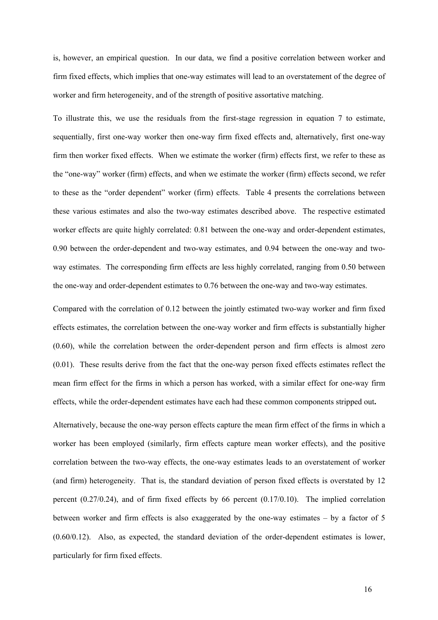is, however, an empirical question. In our data, we find a positive correlation between worker and firm fixed effects, which implies that one-way estimates will lead to an overstatement of the degree of worker and firm heterogeneity, and of the strength of positive assortative matching.

To illustrate this, we use the residuals from the first-stage regression in equation 7 to estimate, sequentially, first one-way worker then one-way firm fixed effects and, alternatively, first one-way firm then worker fixed effects. When we estimate the worker (firm) effects first, we refer to these as the "one-way" worker (firm) effects, and when we estimate the worker (firm) effects second, we refer to these as the "order dependent" worker (firm) effects. Table 4 presents the correlations between these various estimates and also the two-way estimates described above. The respective estimated worker effects are quite highly correlated: 0.81 between the one-way and order-dependent estimates, 0.90 between the order-dependent and two-way estimates, and 0.94 between the one-way and twoway estimates. The corresponding firm effects are less highly correlated, ranging from 0.50 between the one-way and order-dependent estimates to 0.76 between the one-way and two-way estimates.

Compared with the correlation of 0.12 between the jointly estimated two-way worker and firm fixed effects estimates, the correlation between the one-way worker and firm effects is substantially higher (0.60), while the correlation between the order-dependent person and firm effects is almost zero (0.01). These results derive from the fact that the one-way person fixed effects estimates reflect the mean firm effect for the firms in which a person has worked, with a similar effect for one-way firm effects, while the order-dependent estimates have each had these common components stripped out**.**

Alternatively, because the one-way person effects capture the mean firm effect of the firms in which a worker has been employed (similarly, firm effects capture mean worker effects), and the positive correlation between the two-way effects, the one-way estimates leads to an overstatement of worker (and firm) heterogeneity. That is, the standard deviation of person fixed effects is overstated by 12 percent (0.27/0.24), and of firm fixed effects by 66 percent (0.17/0.10). The implied correlation between worker and firm effects is also exaggerated by the one-way estimates – by a factor of 5 (0.60/0.12). Also, as expected, the standard deviation of the order-dependent estimates is lower, particularly for firm fixed effects.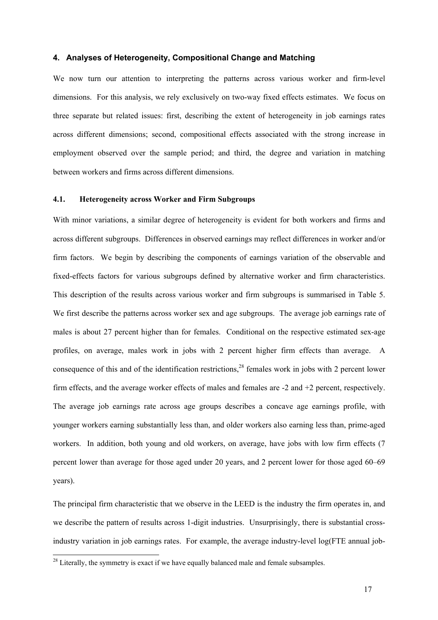#### **4. Analyses of Heterogeneity, Compositional Change and Matching**

We now turn our attention to interpreting the patterns across various worker and firm-level dimensions. For this analysis, we rely exclusively on two-way fixed effects estimates. We focus on three separate but related issues: first, describing the extent of heterogeneity in job earnings rates across different dimensions; second, compositional effects associated with the strong increase in employment observed over the sample period; and third, the degree and variation in matching between workers and firms across different dimensions.

#### **4.1. Heterogeneity across Worker and Firm Subgroups**

With minor variations, a similar degree of heterogeneity is evident for both workers and firms and across different subgroups. Differences in observed earnings may reflect differences in worker and/or firm factors. We begin by describing the components of earnings variation of the observable and fixed-effects factors for various subgroups defined by alternative worker and firm characteristics. This description of the results across various worker and firm subgroups is summarised in Table 5. We first describe the patterns across worker sex and age subgroups. The average job earnings rate of males is about 27 percent higher than for females. Conditional on the respective estimated sex-age profiles, on average, males work in jobs with 2 percent higher firm effects than average. A consequence of this and of the identification restrictions,<sup>28</sup> females work in jobs with 2 percent lower firm effects, and the average worker effects of males and females are -2 and +2 percent, respectively. The average job earnings rate across age groups describes a concave age earnings profile, with younger workers earning substantially less than, and older workers also earning less than, prime-aged workers. In addition, both young and old workers, on average, have jobs with low firm effects (7 percent lower than average for those aged under 20 years, and 2 percent lower for those aged 60–69 years).

The principal firm characteristic that we observe in the LEED is the industry the firm operates in, and we describe the pattern of results across 1-digit industries. Unsurprisingly, there is substantial crossindustry variation in job earnings rates. For example, the average industry-level log(FTE annual job-

 $2<sup>28</sup>$  Literally, the symmetry is exact if we have equally balanced male and female subsamples.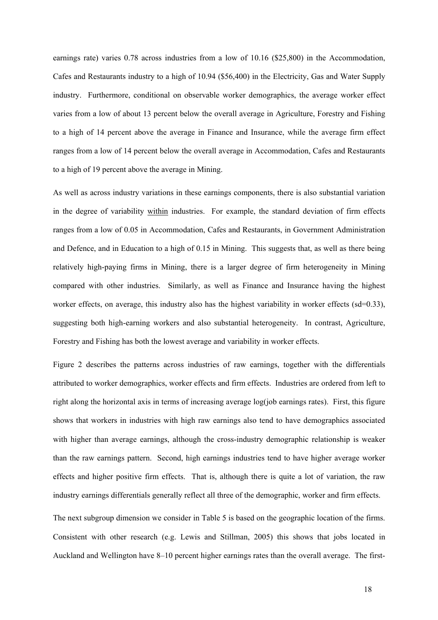earnings rate) varies 0.78 across industries from a low of 10.16 (\$25,800) in the Accommodation, Cafes and Restaurants industry to a high of 10.94 (\$56,400) in the Electricity, Gas and Water Supply industry. Furthermore, conditional on observable worker demographics, the average worker effect varies from a low of about 13 percent below the overall average in Agriculture, Forestry and Fishing to a high of 14 percent above the average in Finance and Insurance, while the average firm effect ranges from a low of 14 percent below the overall average in Accommodation, Cafes and Restaurants to a high of 19 percent above the average in Mining.

As well as across industry variations in these earnings components, there is also substantial variation in the degree of variability within industries. For example, the standard deviation of firm effects ranges from a low of 0.05 in Accommodation, Cafes and Restaurants, in Government Administration and Defence, and in Education to a high of 0.15 in Mining. This suggests that, as well as there being relatively high-paying firms in Mining, there is a larger degree of firm heterogeneity in Mining compared with other industries. Similarly, as well as Finance and Insurance having the highest worker effects, on average, this industry also has the highest variability in worker effects (sd=0.33), suggesting both high-earning workers and also substantial heterogeneity. In contrast, Agriculture, Forestry and Fishing has both the lowest average and variability in worker effects.

Figure 2 describes the patterns across industries of raw earnings, together with the differentials attributed to worker demographics, worker effects and firm effects. Industries are ordered from left to right along the horizontal axis in terms of increasing average log(job earnings rates). First, this figure shows that workers in industries with high raw earnings also tend to have demographics associated with higher than average earnings, although the cross-industry demographic relationship is weaker than the raw earnings pattern. Second, high earnings industries tend to have higher average worker effects and higher positive firm effects. That is, although there is quite a lot of variation, the raw industry earnings differentials generally reflect all three of the demographic, worker and firm effects.

The next subgroup dimension we consider in Table 5 is based on the geographic location of the firms. Consistent with other research (e.g. Lewis and Stillman, 2005) this shows that jobs located in Auckland and Wellington have 8–10 percent higher earnings rates than the overall average. The first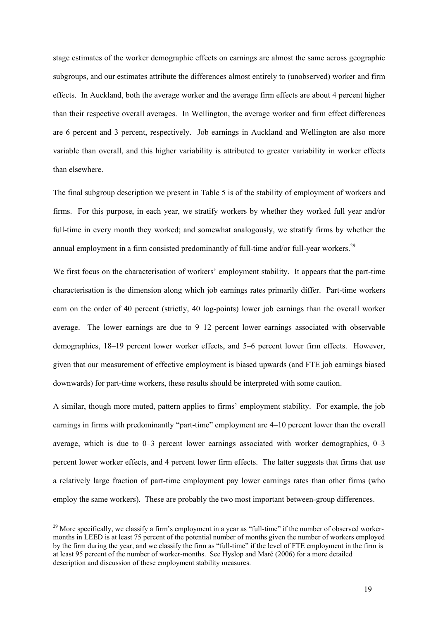stage estimates of the worker demographic effects on earnings are almost the same across geographic subgroups, and our estimates attribute the differences almost entirely to (unobserved) worker and firm effects. In Auckland, both the average worker and the average firm effects are about 4 percent higher than their respective overall averages. In Wellington, the average worker and firm effect differences are 6 percent and 3 percent, respectively. Job earnings in Auckland and Wellington are also more variable than overall, and this higher variability is attributed to greater variability in worker effects than elsewhere.

The final subgroup description we present in Table 5 is of the stability of employment of workers and firms. For this purpose, in each year, we stratify workers by whether they worked full year and/or full-time in every month they worked; and somewhat analogously, we stratify firms by whether the annual employment in a firm consisted predominantly of full-time and/or full-year workers.<sup>29</sup>

We first focus on the characterisation of workers' employment stability. It appears that the part-time characterisation is the dimension along which job earnings rates primarily differ. Part-time workers earn on the order of 40 percent (strictly, 40 log-points) lower job earnings than the overall worker average. The lower earnings are due to 9–12 percent lower earnings associated with observable demographics, 18–19 percent lower worker effects, and 5–6 percent lower firm effects. However, given that our measurement of effective employment is biased upwards (and FTE job earnings biased downwards) for part-time workers, these results should be interpreted with some caution.

A similar, though more muted, pattern applies to firms' employment stability. For example, the job earnings in firms with predominantly "part-time" employment are 4–10 percent lower than the overall average, which is due to 0–3 percent lower earnings associated with worker demographics, 0–3 percent lower worker effects, and 4 percent lower firm effects. The latter suggests that firms that use a relatively large fraction of part-time employment pay lower earnings rates than other firms (who employ the same workers). These are probably the two most important between-group differences.

<sup>&</sup>lt;sup>29</sup> More specifically, we classify a firm's employment in a year as "full-time" if the number of observed workermonths in LEED is at least 75 percent of the potential number of months given the number of workers employed by the firm during the year, and we classify the firm as "full-time" if the level of FTE employment in the firm is at least 95 percent of the number of worker-months. See Hyslop and Maré (2006) for a more detailed description and discussion of these employment stability measures.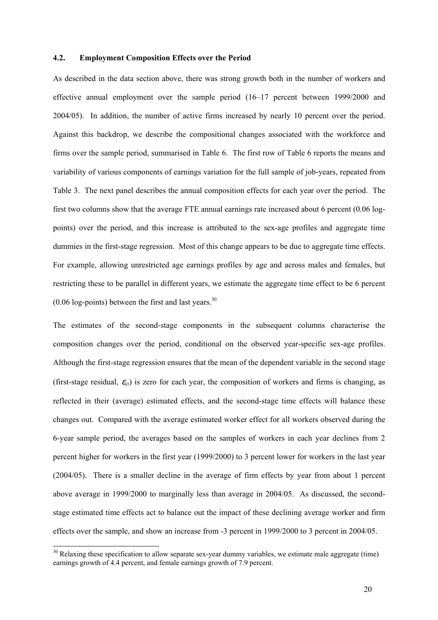#### **4.2. Employment Composition Effects over the Period**

As described in the data section above, there was strong growth both in the number of workers and effective annual employment over the sample period (16–17 percent between 1999/2000 and 2004/05). In addition, the number of active firms increased by nearly 10 percent over the period. Against this backdrop, we describe the compositional changes associated with the workforce and firms over the sample period, summarised in Table 6. The first row of Table 6 reports the means and variability of various components of earnings variation for the full sample of job-years, repeated from Table 3. The next panel describes the annual composition effects for each year over the period. The first two columns show that the average FTE annual earnings rate increased about 6 percent (0.06 logpoints) over the period, and this increase is attributed to the sex-age profiles and aggregate time dummies in the first-stage regression. Most of this change appears to be due to aggregate time effects. For example, allowing unrestricted age earnings profiles by age and across males and females, but restricting these to be parallel in different years, we estimate the aggregate time effect to be 6 percent  $(0.06 \log$ -points) between the first and last years.<sup>30</sup>

The estimates of the second-stage components in the subsequent columns characterise the composition changes over the period, conditional on the observed year-specific sex-age profiles. Although the first-stage regression ensures that the mean of the dependent variable in the second stage (first-stage residual,  $\varepsilon_{ii}$ ) is zero for each year, the composition of workers and firms is changing, as reflected in their (average) estimated effects, and the second-stage time effects will balance these changes out. Compared with the average estimated worker effect for all workers observed during the 6-year sample period, the averages based on the samples of workers in each year declines from 2 percent higher for workers in the first year (1999/2000) to 3 percent lower for workers in the last year (2004/05). There is a smaller decline in the average of firm effects by year from about 1 percent above average in 1999/2000 to marginally less than average in 2004/05. As discussed, the secondstage estimated time effects act to balance out the impact of these declining average worker and firm effects over the sample, and show an increase from -3 percent in 1999/2000 to 3 percent in 2004/05.

 $30$  Relaxing these specification to allow separate sex-year dummy variables, we estimate male aggregate (time) earnings growth of 4.4 percent, and female earnings growth of 7.9 percent.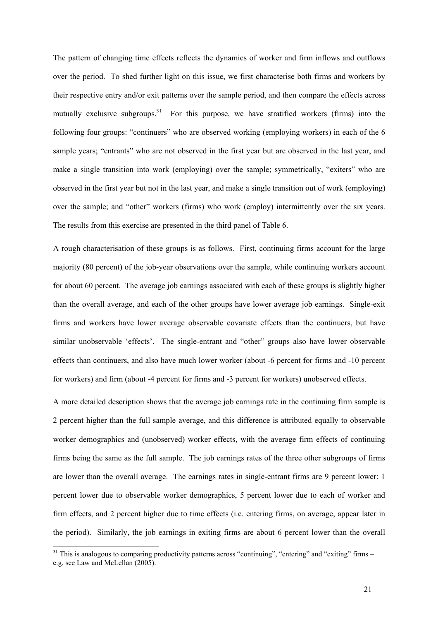The pattern of changing time effects reflects the dynamics of worker and firm inflows and outflows over the period. To shed further light on this issue, we first characterise both firms and workers by their respective entry and/or exit patterns over the sample period, and then compare the effects across mutually exclusive subgroups.<sup>31</sup> For this purpose, we have stratified workers (firms) into the following four groups: "continuers" who are observed working (employing workers) in each of the 6 sample years; "entrants" who are not observed in the first year but are observed in the last year, and make a single transition into work (employing) over the sample; symmetrically, "exiters" who are observed in the first year but not in the last year, and make a single transition out of work (employing) over the sample; and "other" workers (firms) who work (employ) intermittently over the six years. The results from this exercise are presented in the third panel of Table 6.

A rough characterisation of these groups is as follows. First, continuing firms account for the large majority (80 percent) of the job-year observations over the sample, while continuing workers account for about 60 percent. The average job earnings associated with each of these groups is slightly higher than the overall average, and each of the other groups have lower average job earnings. Single-exit firms and workers have lower average observable covariate effects than the continuers, but have similar unobservable 'effects'. The single-entrant and "other" groups also have lower observable effects than continuers, and also have much lower worker (about -6 percent for firms and -10 percent for workers) and firm (about -4 percent for firms and -3 percent for workers) unobserved effects.

A more detailed description shows that the average job earnings rate in the continuing firm sample is 2 percent higher than the full sample average, and this difference is attributed equally to observable worker demographics and (unobserved) worker effects, with the average firm effects of continuing firms being the same as the full sample. The job earnings rates of the three other subgroups of firms are lower than the overall average. The earnings rates in single-entrant firms are 9 percent lower: 1 percent lower due to observable worker demographics, 5 percent lower due to each of worker and firm effects, and 2 percent higher due to time effects (i.e. entering firms, on average, appear later in the period). Similarly, the job earnings in exiting firms are about 6 percent lower than the overall

 $31$  This is analogous to comparing productivity patterns across "continuing", "entering" and "exiting" firms – e.g. see Law and McLellan (2005).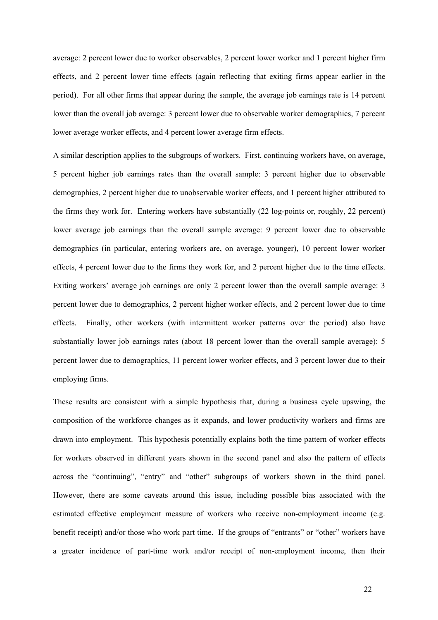average: 2 percent lower due to worker observables, 2 percent lower worker and 1 percent higher firm effects, and 2 percent lower time effects (again reflecting that exiting firms appear earlier in the period). For all other firms that appear during the sample, the average job earnings rate is 14 percent lower than the overall job average: 3 percent lower due to observable worker demographics, 7 percent lower average worker effects, and 4 percent lower average firm effects.

A similar description applies to the subgroups of workers. First, continuing workers have, on average, 5 percent higher job earnings rates than the overall sample: 3 percent higher due to observable demographics, 2 percent higher due to unobservable worker effects, and 1 percent higher attributed to the firms they work for. Entering workers have substantially (22 log-points or, roughly, 22 percent) lower average job earnings than the overall sample average: 9 percent lower due to observable demographics (in particular, entering workers are, on average, younger), 10 percent lower worker effects, 4 percent lower due to the firms they work for, and 2 percent higher due to the time effects. Exiting workers' average job earnings are only 2 percent lower than the overall sample average: 3 percent lower due to demographics, 2 percent higher worker effects, and 2 percent lower due to time effects. Finally, other workers (with intermittent worker patterns over the period) also have substantially lower job earnings rates (about 18 percent lower than the overall sample average): 5 percent lower due to demographics, 11 percent lower worker effects, and 3 percent lower due to their employing firms.

These results are consistent with a simple hypothesis that, during a business cycle upswing, the composition of the workforce changes as it expands, and lower productivity workers and firms are drawn into employment. This hypothesis potentially explains both the time pattern of worker effects for workers observed in different years shown in the second panel and also the pattern of effects across the "continuing", "entry" and "other" subgroups of workers shown in the third panel. However, there are some caveats around this issue, including possible bias associated with the estimated effective employment measure of workers who receive non-employment income (e.g. benefit receipt) and/or those who work part time. If the groups of "entrants" or "other" workers have a greater incidence of part-time work and/or receipt of non-employment income, then their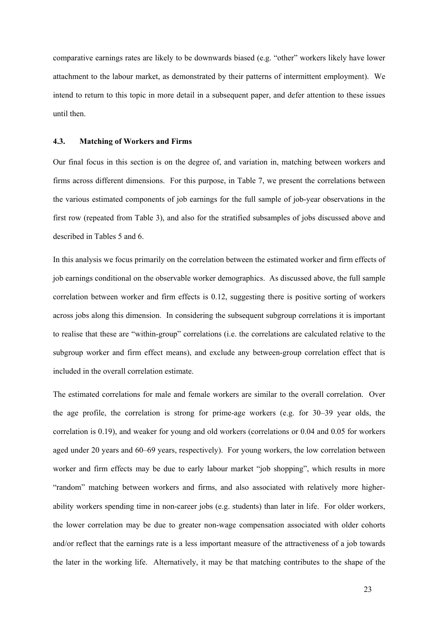comparative earnings rates are likely to be downwards biased (e.g. "other" workers likely have lower attachment to the labour market, as demonstrated by their patterns of intermittent employment). We intend to return to this topic in more detail in a subsequent paper, and defer attention to these issues until then.

#### **4.3. Matching of Workers and Firms**

Our final focus in this section is on the degree of, and variation in, matching between workers and firms across different dimensions. For this purpose, in Table 7, we present the correlations between the various estimated components of job earnings for the full sample of job-year observations in the first row (repeated from Table 3), and also for the stratified subsamples of jobs discussed above and described in Tables 5 and 6.

In this analysis we focus primarily on the correlation between the estimated worker and firm effects of job earnings conditional on the observable worker demographics. As discussed above, the full sample correlation between worker and firm effects is 0.12, suggesting there is positive sorting of workers across jobs along this dimension. In considering the subsequent subgroup correlations it is important to realise that these are "within-group" correlations (i.e. the correlations are calculated relative to the subgroup worker and firm effect means), and exclude any between-group correlation effect that is included in the overall correlation estimate.

The estimated correlations for male and female workers are similar to the overall correlation. Over the age profile, the correlation is strong for prime-age workers (e.g. for 30–39 year olds, the correlation is 0.19), and weaker for young and old workers (correlations or 0.04 and 0.05 for workers aged under 20 years and 60–69 years, respectively). For young workers, the low correlation between worker and firm effects may be due to early labour market "job shopping", which results in more "random" matching between workers and firms, and also associated with relatively more higherability workers spending time in non-career jobs (e.g. students) than later in life. For older workers, the lower correlation may be due to greater non-wage compensation associated with older cohorts and/or reflect that the earnings rate is a less important measure of the attractiveness of a job towards the later in the working life. Alternatively, it may be that matching contributes to the shape of the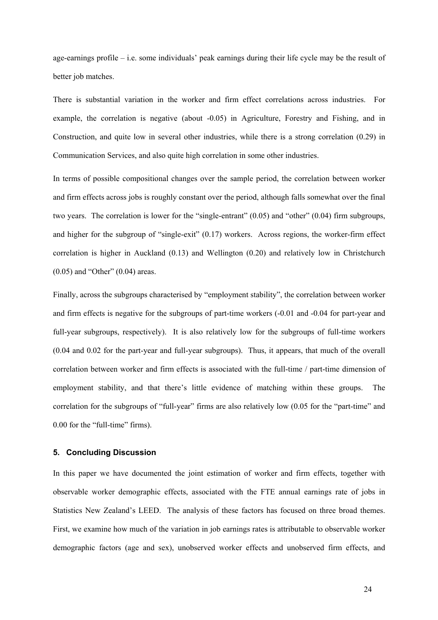age-earnings profile – i.e. some individuals' peak earnings during their life cycle may be the result of better job matches.

There is substantial variation in the worker and firm effect correlations across industries. For example, the correlation is negative (about -0.05) in Agriculture, Forestry and Fishing, and in Construction, and quite low in several other industries, while there is a strong correlation (0.29) in Communication Services, and also quite high correlation in some other industries.

In terms of possible compositional changes over the sample period, the correlation between worker and firm effects across jobs is roughly constant over the period, although falls somewhat over the final two years. The correlation is lower for the "single-entrant" (0.05) and "other" (0.04) firm subgroups, and higher for the subgroup of "single-exit" (0.17) workers. Across regions, the worker-firm effect correlation is higher in Auckland (0.13) and Wellington (0.20) and relatively low in Christchurch (0.05) and "Other" (0.04) areas.

Finally, across the subgroups characterised by "employment stability", the correlation between worker and firm effects is negative for the subgroups of part-time workers (-0.01 and -0.04 for part-year and full-year subgroups, respectively). It is also relatively low for the subgroups of full-time workers (0.04 and 0.02 for the part-year and full-year subgroups). Thus, it appears, that much of the overall correlation between worker and firm effects is associated with the full-time / part-time dimension of employment stability, and that there's little evidence of matching within these groups. The correlation for the subgroups of "full-year" firms are also relatively low (0.05 for the "part-time" and 0.00 for the "full-time" firms).

#### **5. Concluding Discussion**

In this paper we have documented the joint estimation of worker and firm effects, together with observable worker demographic effects, associated with the FTE annual earnings rate of jobs in Statistics New Zealand's LEED. The analysis of these factors has focused on three broad themes. First, we examine how much of the variation in job earnings rates is attributable to observable worker demographic factors (age and sex), unobserved worker effects and unobserved firm effects, and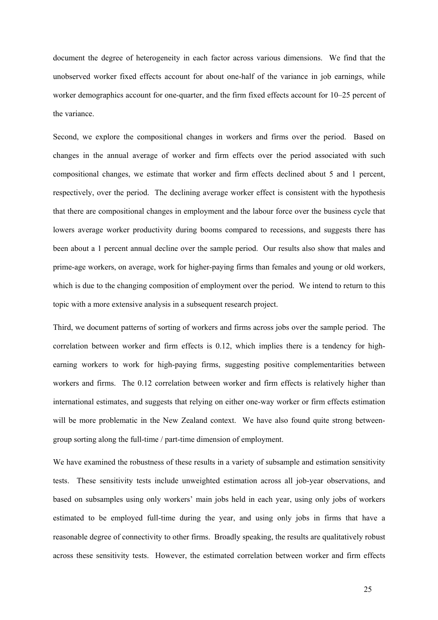document the degree of heterogeneity in each factor across various dimensions. We find that the unobserved worker fixed effects account for about one-half of the variance in job earnings, while worker demographics account for one-quarter, and the firm fixed effects account for 10–25 percent of the variance.

Second, we explore the compositional changes in workers and firms over the period. Based on changes in the annual average of worker and firm effects over the period associated with such compositional changes, we estimate that worker and firm effects declined about 5 and 1 percent, respectively, over the period. The declining average worker effect is consistent with the hypothesis that there are compositional changes in employment and the labour force over the business cycle that lowers average worker productivity during booms compared to recessions, and suggests there has been about a 1 percent annual decline over the sample period. Our results also show that males and prime-age workers, on average, work for higher-paying firms than females and young or old workers, which is due to the changing composition of employment over the period. We intend to return to this topic with a more extensive analysis in a subsequent research project.

Third, we document patterns of sorting of workers and firms across jobs over the sample period. The correlation between worker and firm effects is 0.12, which implies there is a tendency for highearning workers to work for high-paying firms, suggesting positive complementarities between workers and firms. The 0.12 correlation between worker and firm effects is relatively higher than international estimates, and suggests that relying on either one-way worker or firm effects estimation will be more problematic in the New Zealand context. We have also found quite strong betweengroup sorting along the full-time / part-time dimension of employment.

We have examined the robustness of these results in a variety of subsample and estimation sensitivity tests. These sensitivity tests include unweighted estimation across all job-year observations, and based on subsamples using only workers' main jobs held in each year, using only jobs of workers estimated to be employed full-time during the year, and using only jobs in firms that have a reasonable degree of connectivity to other firms. Broadly speaking, the results are qualitatively robust across these sensitivity tests. However, the estimated correlation between worker and firm effects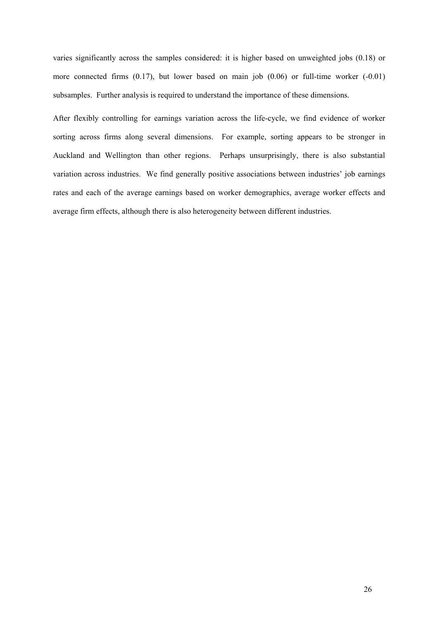varies significantly across the samples considered: it is higher based on unweighted jobs (0.18) or more connected firms (0.17), but lower based on main job (0.06) or full-time worker (-0.01) subsamples. Further analysis is required to understand the importance of these dimensions.

After flexibly controlling for earnings variation across the life-cycle, we find evidence of worker sorting across firms along several dimensions. For example, sorting appears to be stronger in Auckland and Wellington than other regions. Perhaps unsurprisingly, there is also substantial variation across industries. We find generally positive associations between industries' job earnings rates and each of the average earnings based on worker demographics, average worker effects and average firm effects, although there is also heterogeneity between different industries.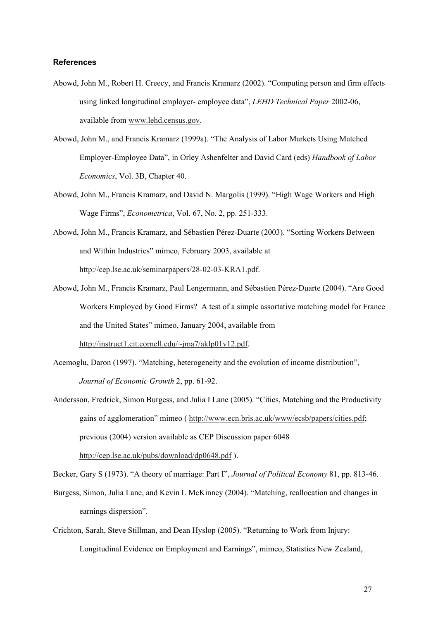#### **References**

- Abowd, John M., Robert H. Creecy, and Francis Kramarz (2002). "Computing person and firm effects using linked longitudinal employer- employee data", *LEHD Technical Paper* 2002-06, available from www.lehd.census.gov.
- Abowd, John M., and Francis Kramarz (1999a). "The Analysis of Labor Markets Using Matched Employer-Employee Data", in Orley Ashenfelter and David Card (eds) *Handbook of Labor Economics*, Vol. 3B, Chapter 40.
- Abowd, John M., Francis Kramarz, and David N. Margolis (1999). "High Wage Workers and High Wage Firms", *Econometrica*, Vol. 67, No. 2, pp. 251-333.
- Abowd, John M., Francis Kramarz, and Sébastien Pérez-Duarte (2003). "Sorting Workers Between and Within Industries" mimeo, February 2003, available at http://cep.lse.ac.uk/seminarpapers/28-02-03-KRA1.pdf.
- Abowd, John M., Francis Kramarz, Paul Lengermann, and Sébastien Pérez-Duarte (2004). "Are Good Workers Employed by Good Firms? A test of a simple assortative matching model for France and the United States" mimeo, January 2004, available from

http://instruct1.cit.cornell.edu/~jma7/aklp01v12.pdf.

- Acemoglu, Daron (1997). "Matching, heterogeneity and the evolution of income distribution", *Journal of Economic Growth* 2, pp. 61-92.
- Andersson, Fredrick, Simon Burgess, and Julia I Lane (2005). "Cities, Matching and the Productivity gains of agglomeration" mimeo ( http://www.ecn.bris.ac.uk/www/ecsb/papers/cities.pdf; previous (2004) version available as CEP Discussion paper 6048 http://cep.lse.ac.uk/pubs/download/dp0648.pdf ).

Becker, Gary S (1973). "A theory of marriage: Part I", *Journal of Political Economy* 81, pp. 813-46.

- Burgess, Simon, Julia Lane, and Kevin L McKinney (2004). "Matching, reallocation and changes in earnings dispersion".
- Crichton, Sarah, Steve Stillman, and Dean Hyslop (2005). "Returning to Work from Injury: Longitudinal Evidence on Employment and Earnings", mimeo, Statistics New Zealand,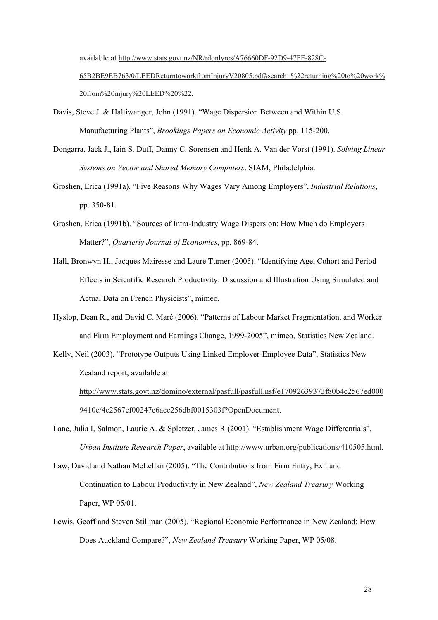available at http://www.stats.govt.nz/NR/rdonlyres/A76660DF-92D9-47FE-828C-

65B2BE9EB763/0/LEEDReturntoworkfromInjuryV20805.pdf#search=%22returning%20to%20work% 20from%20injury%20LEED%20%22.

- Davis, Steve J. & Haltiwanger, John (1991). "Wage Dispersion Between and Within U.S. Manufacturing Plants", *Brookings Papers on Economic Activity* pp. 115-200.
- Dongarra, Jack J., Iain S. Duff, Danny C. Sorensen and Henk A. Van der Vorst (1991). *Solving Linear Systems on Vector and Shared Memory Computers*. SIAM, Philadelphia.
- Groshen, Erica (1991a). "Five Reasons Why Wages Vary Among Employers", *Industrial Relations*, pp. 350-81.
- Groshen, Erica (1991b). "Sources of Intra-Industry Wage Dispersion: How Much do Employers Matter?", *Quarterly Journal of Economics*, pp. 869-84.
- Hall, Bronwyn H., Jacques Mairesse and Laure Turner (2005). "Identifying Age, Cohort and Period Effects in Scientific Research Productivity: Discussion and Illustration Using Simulated and Actual Data on French Physicists", mimeo.
- Hyslop, Dean R., and David C. Maré (2006). "Patterns of Labour Market Fragmentation, and Worker and Firm Employment and Earnings Change, 1999-2005", mimeo, Statistics New Zealand.
- Kelly, Neil (2003). "Prototype Outputs Using Linked Employer-Employee Data", Statistics New Zealand report, available at

http://www.stats.govt.nz/domino/external/pasfull/pasfull.nsf/e17092639373f80b4c2567ed000 9410e/4c2567ef00247c6acc256dbf0015303f?OpenDocument.

- Lane, Julia I, Salmon, Laurie A. & Spletzer, James R (2001). "Establishment Wage Differentials", *Urban Institute Research Paper*, available at http://www.urban.org/publications/410505.html.
- Law, David and Nathan McLellan (2005). "The Contributions from Firm Entry, Exit and Continuation to Labour Productivity in New Zealand", *New Zealand Treasury* Working Paper, WP 05/01.
- Lewis, Geoff and Steven Stillman (2005). "Regional Economic Performance in New Zealand: How Does Auckland Compare?", *New Zealand Treasury* Working Paper, WP 05/08.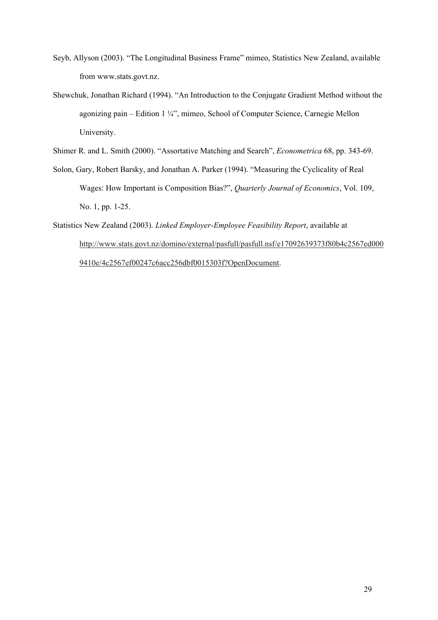- Seyb, Allyson (2003). "The Longitudinal Business Frame" mimeo, Statistics New Zealand, available from www.stats.govt.nz.
- Shewchuk, Jonathan Richard (1994). "An Introduction to the Conjugate Gradient Method without the agonizing pain – Edition 1 ¼", mimeo, School of Computer Science, Carnegie Mellon University.
- Shimer R. and L. Smith (2000). "Assortative Matching and Search", *Econometrica* 68, pp. 343-69.
- Solon, Gary, Robert Barsky, and Jonathan A. Parker (1994). "Measuring the Cyclicality of Real Wages: How Important is Composition Bias?", *Quarterly Journal of Economics*, Vol. 109, No. 1, pp. 1-25.
- Statistics New Zealand (2003). *Linked Employer-Employee Feasibility Report*, available at http://www.stats.govt.nz/domino/external/pasfull/pasfull.nsf/e17092639373f80b4c2567ed000 9410e/4c2567ef00247c6acc256dbf0015303f?OpenDocument.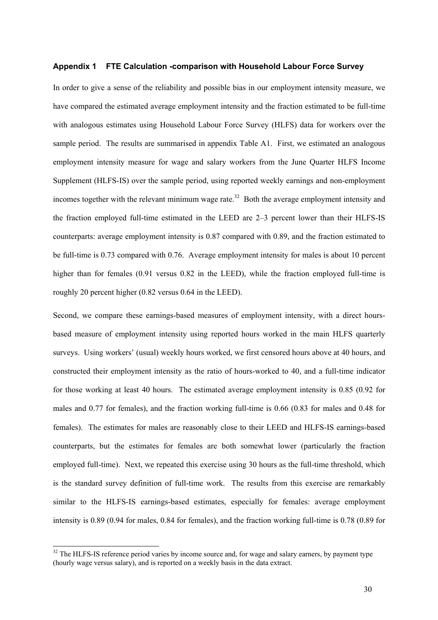#### **Appendix 1 FTE Calculation -comparison with Household Labour Force Survey**

In order to give a sense of the reliability and possible bias in our employment intensity measure, we have compared the estimated average employment intensity and the fraction estimated to be full-time with analogous estimates using Household Labour Force Survey (HLFS) data for workers over the sample period. The results are summarised in appendix Table A1. First, we estimated an analogous employment intensity measure for wage and salary workers from the June Quarter HLFS Income Supplement (HLFS-IS) over the sample period, using reported weekly earnings and non-employment incomes together with the relevant minimum wage rate.<sup>32</sup> Both the average employment intensity and the fraction employed full-time estimated in the LEED are 2–3 percent lower than their HLFS-IS counterparts: average employment intensity is 0.87 compared with 0.89, and the fraction estimated to be full-time is 0.73 compared with 0.76. Average employment intensity for males is about 10 percent higher than for females (0.91 versus 0.82 in the LEED), while the fraction employed full-time is roughly 20 percent higher (0.82 versus 0.64 in the LEED).

Second, we compare these earnings-based measures of employment intensity, with a direct hoursbased measure of employment intensity using reported hours worked in the main HLFS quarterly surveys. Using workers' (usual) weekly hours worked, we first censored hours above at 40 hours, and constructed their employment intensity as the ratio of hours-worked to 40, and a full-time indicator for those working at least 40 hours. The estimated average employment intensity is 0.85 (0.92 for males and 0.77 for females), and the fraction working full-time is 0.66 (0.83 for males and 0.48 for females). The estimates for males are reasonably close to their LEED and HLFS-IS earnings-based counterparts, but the estimates for females are both somewhat lower (particularly the fraction employed full-time). Next, we repeated this exercise using 30 hours as the full-time threshold, which is the standard survey definition of full-time work. The results from this exercise are remarkably similar to the HLFS-IS earnings-based estimates, especially for females: average employment intensity is 0.89 (0.94 for males, 0.84 for females), and the fraction working full-time is 0.78 (0.89 for

 $32$  The HLFS-IS reference period varies by income source and, for wage and salary earners, by payment type (hourly wage versus salary), and is reported on a weekly basis in the data extract.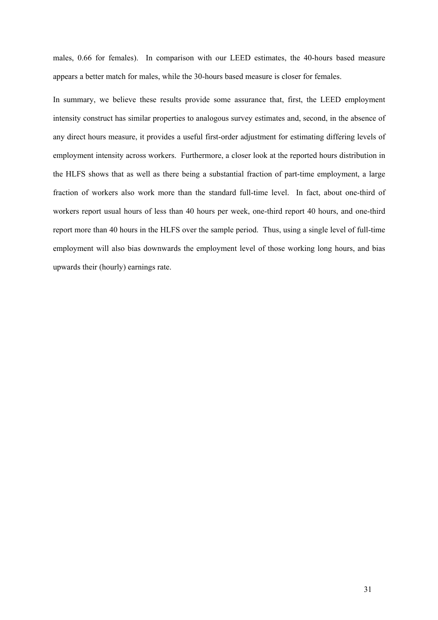males, 0.66 for females). In comparison with our LEED estimates, the 40-hours based measure appears a better match for males, while the 30-hours based measure is closer for females.

In summary, we believe these results provide some assurance that, first, the LEED employment intensity construct has similar properties to analogous survey estimates and, second, in the absence of any direct hours measure, it provides a useful first-order adjustment for estimating differing levels of employment intensity across workers. Furthermore, a closer look at the reported hours distribution in the HLFS shows that as well as there being a substantial fraction of part-time employment, a large fraction of workers also work more than the standard full-time level. In fact, about one-third of workers report usual hours of less than 40 hours per week, one-third report 40 hours, and one-third report more than 40 hours in the HLFS over the sample period. Thus, using a single level of full-time employment will also bias downwards the employment level of those working long hours, and bias upwards their (hourly) earnings rate.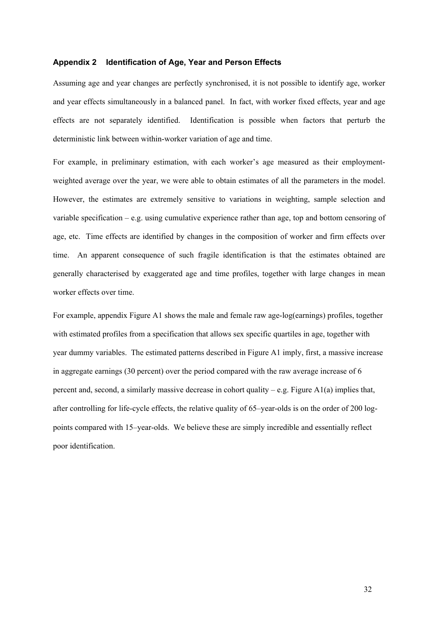#### **Appendix 2 Identification of Age, Year and Person Effects**

Assuming age and year changes are perfectly synchronised, it is not possible to identify age, worker and year effects simultaneously in a balanced panel. In fact, with worker fixed effects, year and age effects are not separately identified. Identification is possible when factors that perturb the deterministic link between within-worker variation of age and time.

For example, in preliminary estimation, with each worker's age measured as their employmentweighted average over the year, we were able to obtain estimates of all the parameters in the model. However, the estimates are extremely sensitive to variations in weighting, sample selection and variable specification – e.g. using cumulative experience rather than age, top and bottom censoring of age, etc. Time effects are identified by changes in the composition of worker and firm effects over time. An apparent consequence of such fragile identification is that the estimates obtained are generally characterised by exaggerated age and time profiles, together with large changes in mean worker effects over time.

For example, appendix Figure A1 shows the male and female raw age-log(earnings) profiles, together with estimated profiles from a specification that allows sex specific quartiles in age, together with year dummy variables. The estimated patterns described in Figure A1 imply, first, a massive increase in aggregate earnings (30 percent) over the period compared with the raw average increase of 6 percent and, second, a similarly massive decrease in cohort quality – e.g. Figure  $A1(a)$  implies that, after controlling for life-cycle effects, the relative quality of 65–year-olds is on the order of 200 logpoints compared with 15–year-olds. We believe these are simply incredible and essentially reflect poor identification.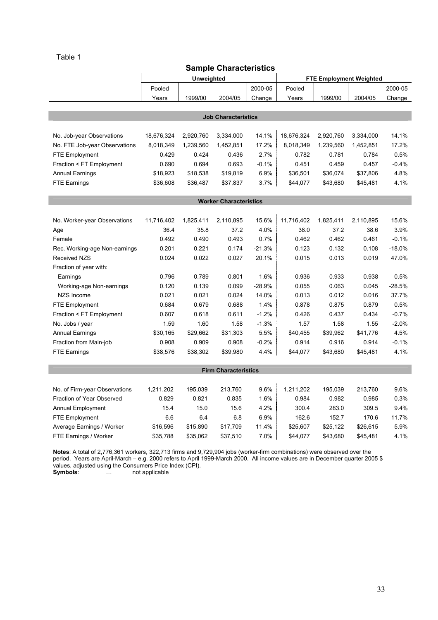# Sample Characteristics

| סטוונוסטוסומטנורוסט           |            |            |                               |          |            |           |                                |          |  |
|-------------------------------|------------|------------|-------------------------------|----------|------------|-----------|--------------------------------|----------|--|
|                               |            | Unweighted |                               |          |            |           | <b>FTE Employment Weighted</b> |          |  |
|                               | Pooled     |            |                               | 2000-05  | Pooled     |           |                                | 2000-05  |  |
|                               | Years      | 1999/00    | 2004/05                       | Change   | Years      | 1999/00   | 2004/05                        | Change   |  |
|                               |            |            |                               |          |            |           |                                |          |  |
|                               |            |            | <b>Job Characteristics</b>    |          |            |           |                                |          |  |
|                               |            |            |                               |          |            |           |                                |          |  |
| No. Job-year Observations     | 18,676,324 | 2,920,760  | 3,334,000                     | 14.1%    | 18,676,324 | 2,920,760 | 3,334,000                      | 14.1%    |  |
| No. FTE Job-year Observations | 8,018,349  | 1,239,560  | 1,452,851                     | 17.2%    | 8,018,349  | 1,239,560 | 1,452,851                      | 17.2%    |  |
| <b>FTE Employment</b>         | 0.429      | 0.424      | 0.436                         | 2.7%     | 0.782      | 0.781     | 0.784                          | 0.5%     |  |
| Fraction < FT Employment      | 0.690      | 0.694      | 0.693                         | $-0.1%$  | 0.451      | 0.459     | 0.457                          | $-0.4%$  |  |
| <b>Annual Earnings</b>        | \$18,923   | \$18,538   | \$19,819                      | 6.9%     | \$36,501   | \$36,074  | \$37,806                       | 4.8%     |  |
| <b>FTE Earnings</b>           | \$36,608   | \$36,487   | \$37,837                      | 3.7%     | \$44,077   | \$43,680  | \$45,481                       | 4.1%     |  |
|                               |            |            |                               |          |            |           |                                |          |  |
|                               |            |            | <b>Worker Characteristics</b> |          |            |           |                                |          |  |
|                               |            |            |                               |          |            |           |                                |          |  |
| No. Worker-year Observations  | 11,716,402 | 1,825,411  | 2,110,895                     | 15.6%    | 11,716,402 | 1,825,411 | 2,110,895                      | 15.6%    |  |
| Age                           | 36.4       | 35.8       | 37.2                          | 4.0%     | 38.0       | 37.2      | 38.6                           | 3.9%     |  |
| Female                        | 0.492      | 0.490      | 0.493                         | 0.7%     | 0.462      | 0.462     | 0.461                          | $-0.1%$  |  |
| Rec. Working-age Non-earnings | 0.201      | 0.221      | 0.174                         | $-21.3%$ | 0.123      | 0.132     | 0.108                          | $-18.0%$ |  |
| <b>Received NZS</b>           | 0.024      | 0.022      | 0.027                         | 20.1%    | 0.015      | 0.013     | 0.019                          | 47.0%    |  |
| Fraction of year with:        |            |            |                               |          |            |           |                                |          |  |
| Earnings                      | 0.796      | 0.789      | 0.801                         | 1.6%     | 0.936      | 0.933     | 0.938                          | 0.5%     |  |
| Working-age Non-earnings      | 0.120      | 0.139      | 0.099                         | $-28.9%$ | 0.055      | 0.063     | 0.045                          | $-28.5%$ |  |
| NZS Income                    | 0.021      | 0.021      | 0.024                         | 14.0%    | 0.013      | 0.012     | 0.016                          | 37.7%    |  |
| <b>FTE Employment</b>         | 0.684      | 0.679      | 0.688                         | 1.4%     | 0.878      | 0.875     | 0.879                          | 0.5%     |  |
| Fraction < FT Employment      | 0.607      | 0.618      | 0.611                         | $-1.2%$  | 0.426      | 0.437     | 0.434                          | $-0.7%$  |  |
| No. Jobs / year               | 1.59       | 1.60       | 1.58                          | $-1.3%$  | 1.57       | 1.58      | 1.55                           | $-2.0%$  |  |
| <b>Annual Earnings</b>        | \$30,165   | \$29,662   | \$31,303                      | 5.5%     | \$40,455   | \$39,962  | \$41,776                       | 4.5%     |  |
| Fraction from Main-job        | 0.908      | 0.909      | 0.908                         | $-0.2%$  | 0.914      | 0.916     | 0.914                          | $-0.1%$  |  |
| <b>FTE Earnings</b>           | \$38,576   | \$38,302   | \$39,980                      | 4.4%     | \$44,077   | \$43,680  | \$45,481                       | 4.1%     |  |
|                               |            |            |                               |          |            |           |                                |          |  |
|                               |            |            | <b>Firm Characteristics</b>   |          |            |           |                                |          |  |
|                               |            |            |                               |          |            |           |                                |          |  |
| No. of Firm-year Observations | 1,211,202  | 195,039    | 213,760                       | 9.6%     | 1,211,202  | 195,039   | 213,760                        | 9.6%     |  |
| Fraction of Year Observed     | 0.829      | 0.821      | 0.835                         | 1.6%     | 0.984      | 0.982     | 0.985                          | 0.3%     |  |
| <b>Annual Employment</b>      | 15.4       | 15.0       | 15.6                          | 4.2%     | 300.4      | 283.0     | 309.5                          | 9.4%     |  |
| <b>FTE Employment</b>         | 6.6        | 6.4        | 6.8                           | 6.9%     | 162.6      | 152.7     | 170.6                          | 11.7%    |  |
| Average Earnings / Worker     | \$16,596   | \$15,890   | \$17,709                      | 11.4%    | \$25,607   | \$25,122  | \$26,615                       | 5.9%     |  |
| FTE Earnings / Worker         | \$35,788   | \$35,062   | \$37,510                      | 7.0%     | \$44,077   | \$43,680  | \$45,481                       | 4.1%     |  |

Notes: A total of 2,776,361 workers, 322,713 firms and 9,729,904 jobs (worker-firm combinations) were observed over the period. Years are April-March – e.g. 2000 refers to April 1999-March 2000. All income values are in December quarter 2005 \$ values, adjusted using the Consumers Price Index (CPI). Symbols: … not applicable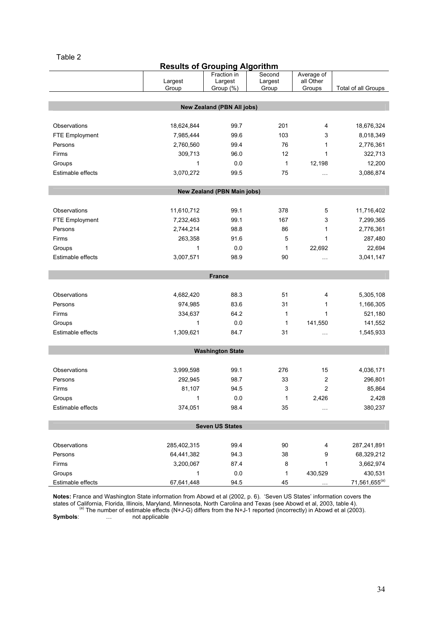| <b>Results of Grouping Algorithm</b> |
|--------------------------------------|
|--------------------------------------|

|                       |             | Fraction in                       | Second  | Average of |                           |  |  |  |  |
|-----------------------|-------------|-----------------------------------|---------|------------|---------------------------|--|--|--|--|
|                       | Largest     | Largest                           | Largest | all Other  |                           |  |  |  |  |
|                       | Group       | Group (%)                         | Group   | Groups     | Total of all Groups       |  |  |  |  |
|                       |             |                                   |         |            |                           |  |  |  |  |
|                       |             | <b>New Zealand (PBN All jobs)</b> |         |            |                           |  |  |  |  |
|                       |             |                                   |         |            |                           |  |  |  |  |
| Observations          | 18,624,844  | 99.7                              | 201     | 4          | 18,676,324                |  |  |  |  |
| <b>FTE Employment</b> | 7,985,444   | 99.6                              | 103     | 3          | 8,018,349                 |  |  |  |  |
| Persons               | 2,760,560   | 99.4                              | 76      | 1          | 2,776,361                 |  |  |  |  |
| Firms                 | 309,713     | 96.0                              | 12      | 1          | 322,713                   |  |  |  |  |
| Groups                | 1           | 0.0                               | 1       | 12,198     | 12,200                    |  |  |  |  |
| Estimable effects     | 3,070,272   | 99.5                              | 75      | i i i      | 3,086,874                 |  |  |  |  |
|                       |             |                                   |         |            |                           |  |  |  |  |
|                       |             | New Zealand (PBN Main jobs)       |         |            |                           |  |  |  |  |
|                       |             |                                   |         |            |                           |  |  |  |  |
| Observations          | 11,610,712  | 99.1                              | 378     | 5          | 11,716,402                |  |  |  |  |
| FTE Employment        | 7,232,463   | 99.1                              | 167     | 3          | 7,299,365                 |  |  |  |  |
| Persons               | 2,744,214   | 98.8                              | 86      | 1          | 2,776,361                 |  |  |  |  |
| Firms                 | 263,358     | 91.6                              | 5       | 1          | 287,480                   |  |  |  |  |
|                       | 1           | 0.0                               |         | 22,692     | 22,694                    |  |  |  |  |
| Groups                |             |                                   | 1       |            |                           |  |  |  |  |
| Estimable effects     | 3,007,571   | 98.9                              | 90      | .          | 3,041,147                 |  |  |  |  |
|                       |             |                                   |         |            |                           |  |  |  |  |
|                       |             | <b>France</b>                     |         |            |                           |  |  |  |  |
| Observations          |             | 88.3                              | 51      | 4          |                           |  |  |  |  |
|                       | 4,682,420   |                                   |         |            | 5,305,108                 |  |  |  |  |
| Persons               | 974,985     | 83.6                              | 31      | 1          | 1,166,305                 |  |  |  |  |
| Firms                 | 334,637     | 64.2                              | 1       | 1          | 521,180                   |  |  |  |  |
| Groups                | 1           | 0.0                               | 1       | 141,550    | 141,552                   |  |  |  |  |
| Estimable effects     | 1,309,621   | 84.7                              | 31      | .          | 1,545,933                 |  |  |  |  |
|                       |             |                                   |         |            |                           |  |  |  |  |
|                       |             | <b>Washington State</b>           |         |            |                           |  |  |  |  |
|                       |             |                                   |         |            |                           |  |  |  |  |
| Observations          | 3,999,598   | 99.1                              | 276     | 15         | 4,036,171                 |  |  |  |  |
| Persons               | 292,945     | 98.7                              | 33      | 2          | 296,801                   |  |  |  |  |
| Firms                 | 81,107      | 94.5                              | 3       | 2          | 85,864                    |  |  |  |  |
| Groups                | 1           | 0.0                               | 1       | 2,426      | 2,428                     |  |  |  |  |
| Estimable effects     | 374,051     | 98.4                              | 35      | $\cdots$   | 380,237                   |  |  |  |  |
|                       |             |                                   |         |            |                           |  |  |  |  |
|                       |             | <b>Seven US States</b>            |         |            |                           |  |  |  |  |
|                       |             |                                   |         |            |                           |  |  |  |  |
| Observations          | 285,402,315 | 99.4                              | 90      | 4          | 287,241,891               |  |  |  |  |
| Persons               | 64,441,382  | 94.3                              | 38      | 9          | 68,329,212                |  |  |  |  |
| Firms                 | 3,200,067   | 87.4                              | 8       | 1          | 3,662,974                 |  |  |  |  |
| Groups                | 1           | 0.0                               | 1       | 430,529    | 430,531                   |  |  |  |  |
| Estimable effects     | 67,641,448  | 94.5                              | 45      |            | 71,561,655 <sup>(a)</sup> |  |  |  |  |

Notes: France and Washington State information from Abowd et al (2002, p. 6). 'Seven US States' information covers the states of California, Florida, Illinois, Maryland, Minnesota, North Carolina and Texas (see Abowd et al, 2003, table 4).<br><sup>(a)</sup> The number of estimable effects (N+J-G) differs from the N+J-1 reported (incorrectly) in Abowd

Symbols: ... not applicable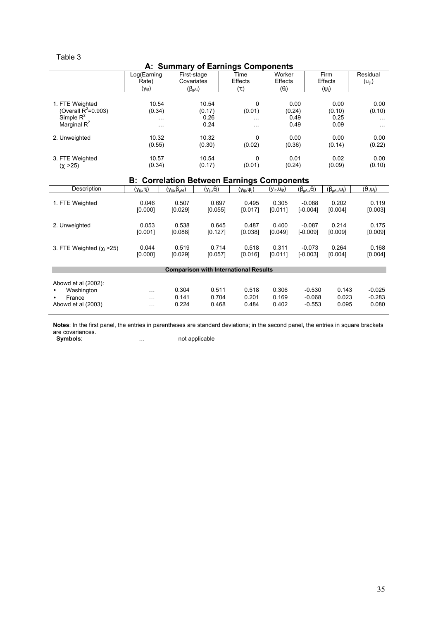| A: Summary of Earnings Components                 |                            |                                        |                      |                     |                      |                           |                                |                      |
|---------------------------------------------------|----------------------------|----------------------------------------|----------------------|---------------------|----------------------|---------------------------|--------------------------------|----------------------|
|                                                   | Log(Earning                | First-stage                            |                      | Time                | Worker               |                           | Firm                           | Residual             |
|                                                   | Rate)                      | Covariates                             |                      | <b>Effects</b>      | <b>Effects</b>       |                           | <b>Effects</b>                 | $(U_{ijt})$          |
|                                                   | $(y_{ijt})$                | $(\beta_{gAt})$                        |                      | $(\tau_t)$          | $(\theta_i)$         |                           | $(\psi_i)$                     |                      |
|                                                   |                            |                                        |                      |                     |                      |                           |                                |                      |
| 1. FTE Weighted                                   | 10.54                      |                                        | 10.54                | $\mathbf 0$         |                      | 0.00                      | 0.00                           | 0.00                 |
| (Overall $R^2$ =0.903)<br>Simple $R^2$            | (0.34)                     |                                        | (0.17)               | (0.01)              | (0.24)               |                           | (0.10)<br>0.25                 | (0.10)               |
| Marginal $R^2$                                    | $\cdots$                   |                                        | 0.26<br>0.24         | $\ddotsc$           |                      | 0.49<br>0.49              | 0.09                           | $\ldots$ .           |
|                                                   | $\cdots$                   |                                        |                      | $\cdots$            |                      |                           |                                | $\ldots$             |
| 2. Unweighted                                     | 10.32                      |                                        | 10.32                | $\Omega$            |                      | 0.00                      | 0.00                           | 0.00                 |
|                                                   | (0.55)                     |                                        | (0.30)               | (0.02)              | (0.36)               |                           | (0.14)                         | (0.22)               |
|                                                   |                            |                                        |                      |                     |                      |                           |                                |                      |
| 3. FTE Weighted                                   | 10.57                      |                                        | 10.54                | 0                   |                      | 0.01                      | 0.02                           | 0.00                 |
| $(\chi_{i} > 25)$                                 | (0.34)                     | (0.17)                                 |                      | (0.01)              | (0.24)               |                           | (0.09)                         | (0.10)               |
| <b>B: Correlation Between Earnings Components</b> |                            |                                        |                      |                     |                      |                           |                                |                      |
| Description                                       | $(y_{\text{ijt}}, \tau_t)$ | $(y_{\text{ijt}}, \beta_{\text{qAt}})$ | $(y_{ijt},\theta_i)$ | $(y_{ijt}, \psi_i)$ | $(y_{ijt}, u_{ijt})$ | $(\beta_{qAt}, \theta_i)$ | $(\beta_{\text{qAt}}, \psi_i)$ | $(\theta_i, \psi_i)$ |
|                                                   |                            |                                        |                      |                     |                      |                           |                                |                      |
| 1. FTE Weighted                                   | 0.046                      | 0.507                                  | 0.697                | 0.495               | 0.305                | $-0.088$                  | 0.202                          | 0.119                |
|                                                   | [0.000]                    | [0.029]                                | [0.055]              | [0.017]             | [0.011]              | $[-0.004]$                | [0.004]                        | [0.003]              |
| 2. Unweighted                                     | 0.053                      | 0.538                                  | 0.645                | 0.487               | 0.400                | $-0.087$                  | 0.214                          | 0.175                |
|                                                   | [0.001]                    | [0.088]                                | [0.127]              | [0.038]             | [0.049]              | $[-0.009]$                | [0.009]                        | [0.009]              |
|                                                   |                            |                                        |                      |                     |                      |                           |                                |                      |
| 3. FTE Weighted $(y_i > 25)$                      | 0.044                      | 0.519                                  | 0.714                | 0.518               | 0.311                | $-0.073$                  | 0.264                          | 0.168                |
|                                                   | [0.000]                    | [0.029]                                | [0.057]              | [0.016]             | [0.011]              | $[-0.003]$                | [0.004]                        | [0.004]              |
|                                                   |                            |                                        |                      |                     |                      |                           |                                |                      |
| <b>Comparison with International Results</b>      |                            |                                        |                      |                     |                      |                           |                                |                      |
| Abowd et al (2002):                               |                            |                                        |                      |                     |                      |                           |                                |                      |
| Washington                                        |                            | 0.304                                  | 0.511                | 0.518               | 0.306                | $-0.530$                  | 0.143                          | $-0.025$             |
| France                                            | $\cdots$<br>$\cdots$       | 0.141                                  | 0.704                | 0.201               | 0.169                | $-0.068$                  | 0.023                          | $-0.283$             |
| Abowd et al (2003)                                | $\cdots$                   | 0.224                                  | 0.468                | 0.484               | 0.402                | $-0.553$                  | 0.095                          | 0.080                |
|                                                   |                            |                                        |                      |                     |                      |                           |                                |                      |

Notes: In the first panel, the entries in parentheses are standard deviations; in the second panel, the entries in square brackets are covariances.

Symbols: … not applicable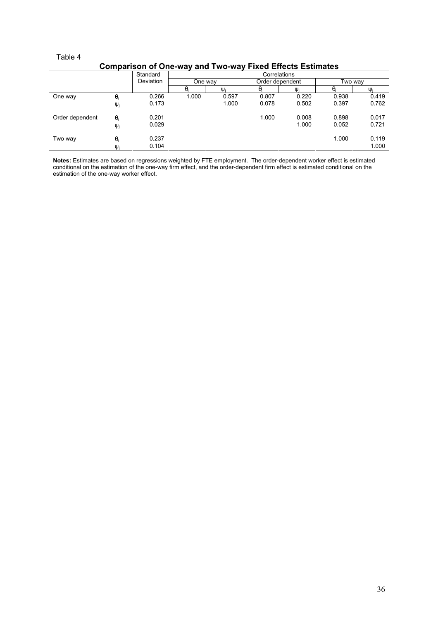l,

|                 | --------   | .         |            | .<br>--- | .               |          |          |       |
|-----------------|------------|-----------|------------|----------|-----------------|----------|----------|-------|
|                 |            | Standard  |            |          |                 |          |          |       |
|                 |            | Deviation | One way    |          | Order dependent |          | Two way  |       |
|                 |            |           | $\theta_i$ | U        | θ.              | $\Psi_i$ | $\theta$ | W     |
| One way         | $\theta_i$ | 0.266     | 1.000      | 0.597    | 0.807           | 0.220    | 0.938    | 0.419 |
|                 | $\Psi_j$   | 0.173     |            | 1.000    | 0.078           | 0.502    | 0.397    | 0.762 |
| Order dependent | $\theta_i$ | 0.201     |            |          | 1.000           | 0.008    | 0.898    | 0.017 |
|                 | $\Psi_j$   | 0.029     |            |          |                 | 1.000    | 0.052    | 0.721 |
| Two way         | $\theta_i$ | 0.237     |            |          |                 |          | 1.000    | 0.119 |
|                 | $\Psi_i$   | 0.104     |            |          |                 |          |          | 1.000 |

# Comparison of One-way and Two-way Fixed Effects Estimates

Notes: Estimates are based on regressions weighted by FTE employment. The order-dependent worker effect is estimated conditional on the estimation of the one-way firm effect, and the order-dependent firm effect is estimated conditional on the estimation of the one-way worker effect.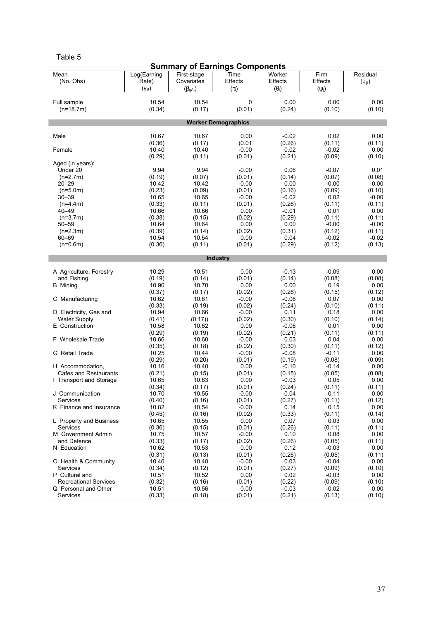#### Summary of Earnings Components **Mean**  (No. Obs) Log(Earning Rate)  $(y_{\text{ii}t})$ First-stage **Covariates**  $(\beta_{\text{gAt}})$ Time Effects  $(\tau_t)$ **Worker Effects**  $(\theta_i)$ Firm **Effects**  $(\psi_i)$ Residual  $(u_{ijt})$ Full sample (n=18.7m) 10.54 (0.34) 10.54 (0.17)  $\Omega$ (0.01) 0.00 (0.24) 0.00 (0.10) 0.00 (0.10) Worker Demographics Male 10.67  $(0.36)$ <br> $10.40$ 10.67 (0.17) 0.00 (0.01 -0.02 (0.26) 0.02 (0.11) 0.00 (0.11) Female (0.29)  $10.40$ (0.11)  $-0.00$ (0.01) 0.02 (0.21)  $-0.02$ (0.09)  $0.00$ (0.10) Aged (in years): Under 20 (n=2.7m) 9.94 (0.19) 9.94 (0.07) -0.00 (0.01) 0.06 (0.14) -0.07 (0.07) 0.01 (0.08) 20–29 (n=5.0m)  $10.42$ (0.23)  $10.42$ (0.09)  $-0.00$ (0.01) 0.00 (0.16)  $-0.00$ (0.09)  $-0.00$ (0.10) 30–39 (n=4.4m) 10.65 (0.33) 10.65 (0.11)  $\sim$ 0.00 (0.01)  $-0.02$ (0.26) 0.02 (0.11)  $-0.00$ (0.11)  $40 - 49$  (n=3.7m) 10.66 (0.38) 10.66  $(0.15)$ 0.00 (0.02)  $-0.01$ (0.29) 0.01 (0.11) 0.00 (0.11) 50–59 (n=2.3m)  $10.64$ (0.39) 10.64 (0.14)  $0.00$ (0.02)  $0.00$ (0.31)  $-0.00$ (0.12)  $-0.00$ (0.11) 60–69 (n=0.6m)  $10.54$ (0.36)  $10.54$ (0.11) 0.00 (0.01) 0.04 (0.29)  $-0.02$ (0.12)  $-0.02$ (0.13) **Industry** A Agriculture, Forestry and Fishing 10.29  $(0.19)$ <br> $10.90$ 10.51 (0.14) 0.00 (0.01)  $-0.13$ (0.14) -0.09 (0.08) 0.00 (0.08) **B** Mining (0.37) 10.70  $(0.17)$ 0.00 (0.02) 0.00 (0.26) 0.19 (0.15) 0.00 (0.12) C Manufacturing 10.62 (0.33) 10.61 (0.19)  $-0.00$ (0.02) -0.06 (0.24) 0.07 (0.10) 0.00 (0.11) D Electricity, Gas and Water Supply 10.94 (0.41) 10.66 (0.17))  $-0.00$ (0.02) 0.11 (0.30) 0.18 (0.10) 0.00 (0.14) E Construction 10.58  $(0.29)$ <br>10.66 10.62 (0.19) 0.00 (0.02) -0.06 (0.21) 0.01 (0.11) 0.00 (0.11) F Wholesale Trade  $(0.35)$ <br>10.25 10.60 (0.18)  $-0.00$ (0.02) 0.03 (0.30) 0.04 (0.11) 0.00 (0.12) G Retail Trade (0.29) 10.44 (0.20)  $-0.00$ (0.01)  $-0.08$ (0.19)  $-0.11$ (0.08) 0.00 (0.09) H Accommodation, Cafes and Restaurants  $10.16$  $(0.21)$ <br>10.65  $10.40$ (0.15)  $0.00$ (0.01)  $-0.10$ (0.15)  $-0.14$ (0.05)  $0.00$ (0.08) I Transport and Storage (0.34) 10.63  $(0.17)$ 0.00 (0.01) -0.03 (0.24) 0.05 (0.11) 0.00 (0.11) J Communication Services 10.70  $(0.40)$ <br>10.82 10.55 (0.16)  $-0.00$ (0.01) 0.04 (0.27) 0.11 (0.11)  $0.00$ (0.12) K Finance and Insurance (0.45) 10.54 (0.16)  $-0.00$  $(0.02)$ 0.14 (0.33) 0.15 (0.11) 0.00  $(0.14)$ L Property and Business **Services** 10.65 (0.36) 10.55 (0.15) 0.00 (0.01) 0.07 (0.26) 0.03 (0.11) 0.00 (0.11) M Government Admin and Defence  $10.75$ (0.33)  $10.57$ (0.17)  $-0.00$ (0.02) 0.10 (0.26) 0.08 (0.05) 0.00 (0.11) N Education 10.62 (0.31) 10.53 (0.13) 0.00 (0.01) 0.12 (0.26) -0.03 (0.05) 0.00 (0.11) O Health & Community Services 10.46 (0.34)  $10.48$ (0.12)  $-0.00$ (0.01) 0.03 (0.27)  $-0.04$ (0.09) 0.00 (0.10) P Cultural and Recreational Services 10.51 (0.32) 10.52 (0.16) 0.00 (0.01) 0.02 (0.22)  $-0.03$ (0.09) 0.00 (0.10) Q Personal and Other Services 10.51 (0.33) 10.56 (0.18)  $0.00$ (0.01)  $-0.03$ (0.21)  $-0.02$ (0.13) 0.00 (0.10)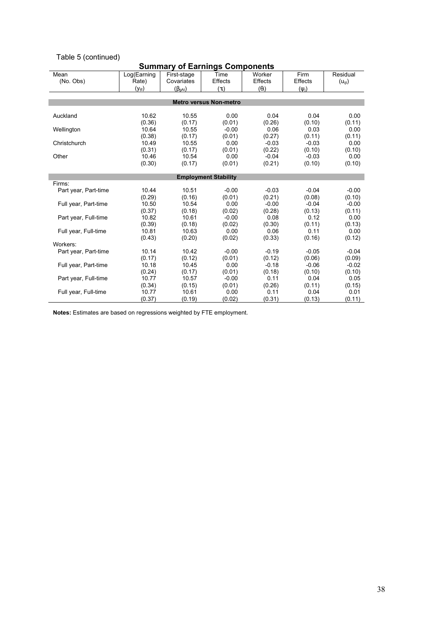# Table 5 (continued)

# Summary of Earnings Components

| Mean                 | Log(Earning | First-stage     | Time                          | Worker         | Firm           | Residual    |
|----------------------|-------------|-----------------|-------------------------------|----------------|----------------|-------------|
| (No. Obs)            | Rate)       | Covariates      | <b>Effects</b>                | <b>Effects</b> | <b>Effects</b> | $(U_{ijt})$ |
|                      | $(y_{ijt})$ | $(\beta_{gAt})$ | $(\tau_t)$                    | $(\theta_i)$   | $(\psi_i)$     |             |
|                      |             |                 |                               |                |                |             |
|                      |             |                 | <b>Metro versus Non-metro</b> |                |                |             |
|                      |             |                 |                               |                |                |             |
| Auckland             | 10.62       | 10.55           | 0.00                          | 0.04           | 0.04           | 0.00        |
|                      | (0.36)      | (0.17)          | (0.01)                        | (0.26)         | (0.10)         | (0.11)      |
| Wellington           | 10.64       | 10.55           | $-0.00$                       | 0.06           | 0.03           | 0.00        |
|                      | (0.38)      | (0.17)          | (0.01)                        | (0.27)         | (0.11)         | (0.11)      |
| Christchurch         | 10.49       | 10.55           | 0.00                          | $-0.03$        | $-0.03$        | 0.00        |
|                      | (0.31)      | (0.17)          | (0.01)                        | (0.22)         | (0.10)         | (0.10)      |
| Other                | 10.46       | 10.54           | 0.00                          | $-0.04$        | $-0.03$        | 0.00        |
|                      | (0.30)      | (0.17)          | (0.01)                        | (0.21)         | (0.10)         | (0.10)      |
|                      |             |                 |                               |                |                |             |
|                      |             |                 | <b>Employment Stability</b>   |                |                |             |
| Firms:               |             |                 |                               |                |                |             |
| Part year, Part-time | 10.44       | 10.51           | $-0.00$                       | $-0.03$        | $-0.04$        | $-0.00$     |
|                      | (0.29)      | (0.16)          | (0.01)                        | (0.21)         | (0.08)         | (0.10)      |
| Full year, Part-time | 10.50       | 10.54           | 0.00                          | $-0.00$        | $-0.04$        | $-0.00$     |
|                      | (0.37)      | (0.18)          | (0.02)                        | (0.28)         | (0.13)         | (0.11)      |
| Part year, Full-time | 10.82       | 10.61           | $-0.00$                       | 0.08           | 0.12           | 0.00        |
|                      | (0.39)      | (0.18)          | (0.02)                        | (0.30)         | (0.11)         | (0.13)      |
| Full year, Full-time | 10.81       | 10.63           | 0.00                          | 0.06           | 0.11           | 0.00        |
|                      | (0.43)      | (0.20)          | (0.02)                        | (0.33)         | (0.16)         | (0.12)      |
| Workers:             |             |                 |                               |                |                |             |
| Part year, Part-time | 10.14       | 10.42           | $-0.00$                       | $-0.19$        | $-0.05$        | $-0.04$     |
|                      | (0.17)      | (0.12)          | (0.01)                        | (0.12)         | (0.06)         | (0.09)      |
| Full year, Part-time | 10.18       | 10.45           | 0.00                          | $-0.18$        | $-0.06$        | $-0.02$     |
|                      | (0.24)      | (0.17)          | (0.01)                        | (0.18)         | (0.10)         | (0.10)      |
| Part year, Full-time | 10.77       | 10.57           | $-0.00$                       | 0.11           | 0.04           | 0.05        |
|                      | (0.34)      | (0.15)          | (0.01)                        | (0.26)         | (0.11)         | (0.15)      |
| Full year, Full-time | 10.77       | 10.61           | 0.00                          | 0.11           | 0.04           | 0.01        |
|                      | (0.37)      | (0.19)          | (0.02)                        | (0.31)         | (0.13)         | (0.11)      |

Notes: Estimates are based on regressions weighted by FTE employment.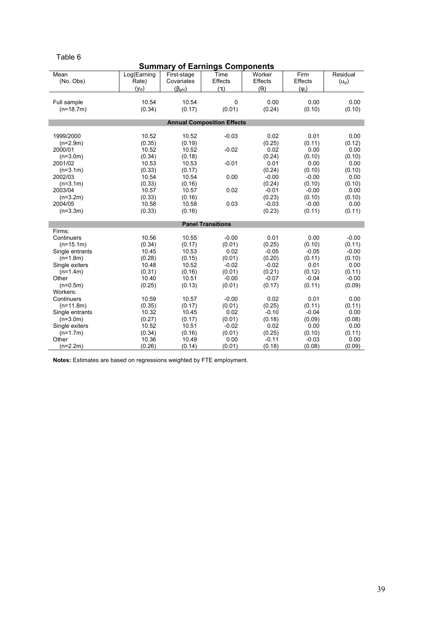| × | ۰. |  |
|---|----|--|

| <b>Summary of Earnings Components</b> |                      |                           |                                   |                   |                 |                                |  |
|---------------------------------------|----------------------|---------------------------|-----------------------------------|-------------------|-----------------|--------------------------------|--|
| Mean<br>(No. Obs)                     | Log(Earning<br>Rate) | First-stage<br>Covariates | Time<br>Effects                   | Worker<br>Effects | Firm<br>Effects | Residual<br>$(u_{\text{iit}})$ |  |
|                                       | $(y_{ijt})$          | $(\beta_{gAt})$           | $(\tau_t)$                        | $(\theta_i)$      | $(\psi_i)$      |                                |  |
| Full sample<br>$(n=18.7m)$            | 10.54<br>(0.34)      | 10.54<br>(0.17)           | 0<br>(0.01)                       | 0.00<br>(0.24)    | 0.00<br>(0.10)  | 0.00<br>(0.10)                 |  |
|                                       |                      |                           | <b>Annual Composition Effects</b> |                   |                 |                                |  |
|                                       |                      |                           |                                   |                   |                 |                                |  |
| 1999/2000                             | 10.52                | 10.52                     | $-0.03$                           | 0.02              | 0.01            | 0.00                           |  |
| $(n=2.9m)$                            | (0.35)               | (0.19)                    |                                   | (0.25)            | (0.11)          | (0.12)                         |  |
| 2000/01                               | 10.52                | 10.52                     | $-0.02$                           | 0.02              | 0.00            | 0.00                           |  |
| $(n=3.0m)$<br>2001/02                 | (0.34)<br>10.53      | (0.18)<br>10.53           | $-0.01$                           | (0.24)<br>0.01    | (0.10)<br>0.00  | (0.10)<br>0.00                 |  |
| $(n=3.1m)$                            | (0.33)               | (0.17)                    |                                   | (0.24)            | (0.10)          | (0.10)                         |  |
| 2002/03                               | 10.54                | 10.54                     | 0.00                              | $-0.00$           | $-0.00$         | 0.00                           |  |
| $(n=3.1m)$                            | (0.33)               | (0.16)                    |                                   | (0.24)            | (0.10)          | (0.10)                         |  |
| 2003/04                               | 10.57                | 10.57                     | 0.02                              | $-0.01$           | $-0.00$         | 0.00                           |  |
| $(n=3.2m)$                            | (0.33)               | (0.16)                    |                                   | (0.23)            | (0.10)          | (0.10)                         |  |
| 2004/05                               | 10.58                | 10.58                     | 0.03                              | $-0.03$           | $-0.00$         | 0.00                           |  |
| $(n=3.3m)$                            | (0.33)               | (0.16)                    |                                   | (0.23)            | (0.11)          | (0.11)                         |  |
|                                       |                      |                           |                                   |                   |                 |                                |  |
| Firms:                                |                      |                           | <b>Panel Transitions</b>          |                   |                 |                                |  |
| Continuers                            | 10.56                | 10.55                     | $-0.00$                           | 0.01              | 0.00            | $-0.00$                        |  |
| $(n=15.1m)$                           | (0.34)               | (0.17)                    | (0.01)                            | (0.25)            | (0.10)          | (0.11)                         |  |
| Single entrants                       | 10.45                | 10.53                     | 0.02                              | $-0.05$           | $-0.05$         | $-0.00$                        |  |
| $(n=1.8m)$                            | (0.28)               | (0.15)                    | (0.01)                            | (0.20)            | (0.11)          | (0.10)                         |  |
| Single exiters                        | 10.48                | 10.52                     | $-0.02$                           | $-0.02$           | 0.01            | 0.00                           |  |
| $(n=1.4m)$                            | (0.31)               | (0.16)                    | (0.01)                            | (0.21)            | (0.12)          | (0.11)                         |  |
| Other                                 | 10.40                | 10.51                     | $-0.00$                           | $-0.07$           | $-0.04$         | $-0.00$                        |  |
| $(n=0.5m)$                            | (0.25)               | (0.13)                    | (0.01)                            | (0.17)            | (0.11)          | (0.09)                         |  |
| Workers:                              |                      |                           |                                   |                   |                 |                                |  |
| Continuers                            | 10.59                | 10.57                     | $-0.00$                           | 0.02              | 0.01            | 0.00                           |  |
| $(n=11.8m)$                           | (0.35)               | (0.17)                    | (0.01)                            | (0.25)            | (0.11)          | (0.11)                         |  |
| Single entrants                       | 10.32                | 10.45                     | 0.02                              | $-0.10$           | $-0.04$         | 0.00                           |  |
| $(n=3.0m)$                            | (0.27)               | (0.17)                    | (0.01)                            | (0.18)            | (0.09)          | (0.08)                         |  |
| Single exiters                        | 10.52                | 10.51                     | $-0.02$                           | 0.02              | 0.00            | 0.00                           |  |
| $(n=1.7m)$                            | (0.34)               | (0.16)                    | (0.01)                            | (0.25)            | (0.10)          | (0.11)                         |  |
| Other                                 | 10.36                | 10.49                     | 0.00                              | $-0.11$           | $-0.03$         | 0.00                           |  |
| $(n=2.2m)$                            | (0.26)               | (0.14)                    | (0.01)                            | (0.18)            | (0.08)          | (0.09)                         |  |

Notes: Estimates are based on regressions weighted by FTE employment.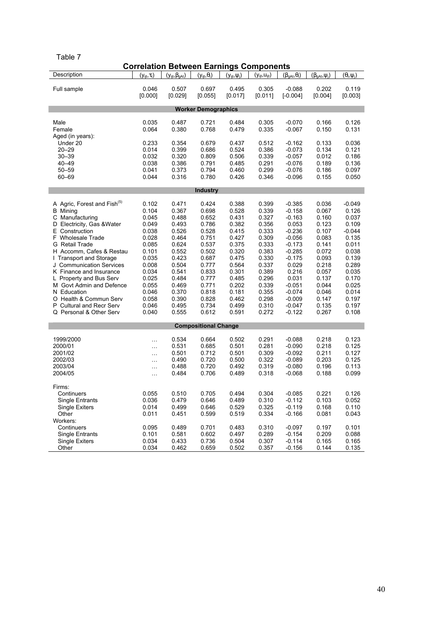| ۰.<br>×<br>۰, | I |  |
|---------------|---|--|

| Description<br>$(y_{ijt}, \beta_{gAt})$<br>$(y_{ijt}, \theta_i)$<br>$(y_{ijt}, u_{ijt})$<br>$(y_{ijt}, \tau_t)$<br>$(y_{ijt}, \psi_j)$<br>$(\beta_{gAt}, \theta_i)$<br>$(\beta_{gAt}, \psi_i)$<br>$(\theta_i, \psi_j)$ |  |
|------------------------------------------------------------------------------------------------------------------------------------------------------------------------------------------------------------------------|--|
|                                                                                                                                                                                                                        |  |
|                                                                                                                                                                                                                        |  |
| Full sample<br>0.046<br>0.507<br>0.697<br>0.495<br>0.305<br>$-0.088$<br>0.202<br>0.119                                                                                                                                 |  |
| [0.000]<br>[0.011]<br>[0.004]<br>[0.003]<br>[0.029]<br>[0.055]<br>[0.017]<br>$[-0.004]$                                                                                                                                |  |
| <b>Worker Demographics</b>                                                                                                                                                                                             |  |
|                                                                                                                                                                                                                        |  |
| 0.305<br>$-0.070$<br>Male<br>0.035<br>0.487<br>0.721<br>0.484<br>0.166<br>0.126                                                                                                                                        |  |
| 0.064<br>0.768<br>0.479<br>0.335<br>$-0.067$<br>0.131<br>Female<br>0.380<br>0.150                                                                                                                                      |  |
| Aged (in years):                                                                                                                                                                                                       |  |
| Under 20<br>0.233<br>0.354<br>0.679<br>0.437<br>0.512<br>$-0.162$<br>0.133<br>0.036                                                                                                                                    |  |
| $20 - 29$<br>0.014<br>0.399<br>0.686<br>0.524<br>0.386<br>$-0.073$<br>0.134<br>0.121                                                                                                                                   |  |
| $30 - 39$<br>0.032<br>0.320<br>0.809<br>0.506<br>0.339<br>$-0.057$<br>0.012<br>0.186                                                                                                                                   |  |
| $40 - 49$<br>0.038<br>0.386<br>0.791<br>0.485<br>0.291<br>$-0.076$<br>0.189<br>0.136                                                                                                                                   |  |
| 0.373<br>0.299<br>0.097<br>$50 - 59$<br>0.041<br>0.794<br>0.460<br>$-0.076$<br>0.186                                                                                                                                   |  |
| 0.044<br>0.780<br>$60 - 69$<br>0.316<br>0.426<br>0.346<br>$-0.096$<br>0.155<br>0.050                                                                                                                                   |  |
|                                                                                                                                                                                                                        |  |
| <b>Industry</b>                                                                                                                                                                                                        |  |
| A Agric, Forest and Fish <sup>(5)</sup><br>0.102<br>0.471<br>0.424<br>0.388<br>0.399<br>$-0.385$<br>0.036<br>$-0.049$                                                                                                  |  |
| 0.339<br><b>B</b> Mining<br>0.104<br>0.367<br>0.698<br>0.528<br>$-0.158$<br>0.067<br>0.126                                                                                                                             |  |
| 0.327<br>C Manufacturing<br>0.045<br>0.488<br>0.652<br>0.431<br>$-0.163$<br>0.160<br>0.037                                                                                                                             |  |
| 0.049<br>0.493<br>0.356<br>0.053<br>D Electricity, Gas & Water<br>0.786<br>0.382<br>0.123<br>0.109                                                                                                                     |  |
| E Construction<br>0.038<br>0.526<br>0.528<br>0.415<br>0.333<br>$-0.236$<br>0.107<br>$-0.044$                                                                                                                           |  |
| 0.028<br>0.135<br>F Wholesale Trade<br>0.464<br>0.751<br>0.427<br>0.309<br>$-0.056$<br>0.083                                                                                                                           |  |
| G Retail Trade<br>0.085<br>0.624<br>0.537<br>0.375<br>0.333<br>$-0.173$<br>0.141<br>0.011                                                                                                                              |  |
| $-0.285$<br>H Accomm, Cafes & Restau<br>0.101<br>0.552<br>0.502<br>0.320<br>0.383<br>0.072<br>0.038                                                                                                                    |  |
| I Transport and Storage<br>0.035<br>0.423<br>0.687<br>0.475<br>0.330<br>$-0.175$<br>0.093<br>0.139                                                                                                                     |  |
| J Communication Services<br>0.008<br>0.504<br>0.777<br>0.564<br>0.337<br>0.029<br>0.218<br>0.289                                                                                                                       |  |
| 0.216<br>0.035<br>K Finance and Insurance<br>0.034<br>0.541<br>0.833<br>0.301<br>0.389<br>0.057                                                                                                                        |  |
| 0.025<br>0.484<br>0.485<br>0.296<br>0.031<br>0.137<br>0.170<br>L Property and Bus Serv<br>0.777                                                                                                                        |  |
| 0.339<br>0.025<br>M Govt Admin and Defence<br>0.055<br>0.469<br>0.771<br>0.202<br>$-0.051$<br>0.044                                                                                                                    |  |
| 0.014<br>N Education<br>0.046<br>0.370<br>0.818<br>0.181<br>0.355<br>$-0.074$<br>0.046                                                                                                                                 |  |
| 0.298<br>0.197<br>O Health & Commun Serv<br>0.058<br>0.390<br>0.828<br>0.462<br>$-0.009$<br>0.147                                                                                                                      |  |
| 0.197<br>P Cultural and Recr Serv<br>0.046<br>0.495<br>0.734<br>0.499<br>0.310<br>$-0.047$<br>0.135                                                                                                                    |  |
| Q Personal & Other Serv<br>0.040<br>0.555<br>0.612<br>0.591<br>0.272<br>$-0.122$<br>0.267<br>0.108                                                                                                                     |  |
| <b>Compositional Change</b>                                                                                                                                                                                            |  |
|                                                                                                                                                                                                                        |  |
| 0.291<br>0.218<br>0.123<br>1999/2000<br>0.534<br>0.664<br>0.502<br>$-0.088$<br>$\ldots$                                                                                                                                |  |
| 0.531<br>0.685<br>0.501<br>0.281<br>$-0.090$<br>0.218<br>0.125<br>2000/01<br>$\ldots$                                                                                                                                  |  |
| 0.712<br>0.309<br>$-0.092$<br>0.211<br>0.127<br>2001/02<br>0.501<br>0.501<br>$\ldots$                                                                                                                                  |  |
| 2002/03<br>0.490<br>0.720<br>0.500<br>0.322<br>$-0.089$<br>0.203<br>0.125<br>$\ldots$                                                                                                                                  |  |
| 0.113<br>2003/04<br>0.488<br>0.720<br>0.492<br>0.319<br>$-0.080$<br>0.196<br>$\cdots$                                                                                                                                  |  |
| 2004/05<br>0.484<br>0.706<br>0.489<br>0.318<br>$-0.068$<br>0.188<br>0.099<br>$\ldots$                                                                                                                                  |  |
|                                                                                                                                                                                                                        |  |
| Firms:                                                                                                                                                                                                                 |  |
| 0.304<br>$-0.085$<br>0.126<br>0.055<br>0.510<br>0.705<br>0.494<br>0.221<br>Continuers                                                                                                                                  |  |
| 0.310<br>Single Entrants<br>0.036<br>0.479<br>0.646<br>0.489<br>$-0.112$<br>0.103<br>0.052                                                                                                                             |  |
| 0.014<br>0.499<br>0.646<br>0.325<br>$-0.119$<br>0.168<br>0.110<br><b>Single Exiters</b><br>0.529                                                                                                                       |  |
| 0.011<br>Other<br>0.451<br>0.599<br>0.519<br>0.334<br>$-0.166$<br>0.081<br>0.043                                                                                                                                       |  |
| Workers:<br>0.095<br>0.483<br>0.101<br>Continuers<br>0.489<br>0.701<br>0.310<br>$-0.097$<br>0.197                                                                                                                      |  |
| 0.101<br>0.602<br>0.088<br><b>Single Entrants</b><br>0.581<br>0.497<br>0.289<br>$-0.154$<br>0.209                                                                                                                      |  |
| 0.034<br>$-0.114$<br><b>Single Exiters</b><br>0.433<br>0.736<br>0.504<br>0.307<br>0.165<br>0.165                                                                                                                       |  |
| Other<br>0.034<br>0.462<br>0.659<br>$-0.156$<br>0.144<br>0.135<br>0.502<br>0.357                                                                                                                                       |  |

# 40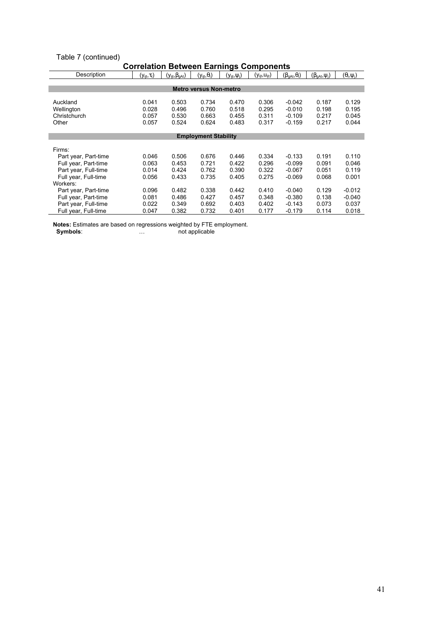# Table 7 (continued)

| ooneianon Detween Lannings Oomponents |                     |                          |                               |                     |                      |                           |                         |                      |
|---------------------------------------|---------------------|--------------------------|-------------------------------|---------------------|----------------------|---------------------------|-------------------------|----------------------|
| Description                           | $(y_{ijt}, \tau_t)$ | $(y_{ijt}, \beta_{gAt})$ | $(y_{ijt},\theta_i)$          | $(y_{ijt}, \psi_i)$ | $(y_{ijt}, U_{ijt})$ | $(\beta_{gAt}, \theta_i)$ | $(\beta_{gAt}, \psi_i)$ | $(\theta_i, \psi_j)$ |
|                                       |                     |                          |                               |                     |                      |                           |                         |                      |
|                                       |                     |                          | <b>Metro versus Non-metro</b> |                     |                      |                           |                         |                      |
|                                       |                     |                          |                               |                     |                      |                           |                         |                      |
| Auckland                              | 0.041               | 0.503                    | 0.734                         | 0.470               | 0.306                | $-0.042$                  | 0.187                   | 0.129                |
| Wellington                            | 0.028               | 0.496                    | 0.760                         | 0.518               | 0.295                | $-0.010$                  | 0.198                   | 0.195                |
| Christchurch                          | 0.057               | 0.530                    | 0.663                         | 0.455               | 0.311                | $-0.109$                  | 0.217                   | 0.045                |
| Other                                 | 0.057               | 0.524                    | 0.624                         | 0.483               | 0.317                | $-0.159$                  | 0.217                   | 0.044                |
|                                       |                     |                          |                               |                     |                      |                           |                         |                      |
| <b>Employment Stability</b>           |                     |                          |                               |                     |                      |                           |                         |                      |
|                                       |                     |                          |                               |                     |                      |                           |                         |                      |
| Firms:                                |                     |                          |                               |                     |                      |                           |                         |                      |
| Part year, Part-time                  | 0.046               | 0.506                    | 0.676                         | 0.446               | 0.334                | $-0.133$                  | 0.191                   | 0.110                |
| Full year, Part-time                  | 0.063               | 0.453                    | 0.721                         | 0.422               | 0.296                | $-0.099$                  | 0.091                   | 0.046                |
| Part year, Full-time                  | 0.014               | 0.424                    | 0.762                         | 0.390               | 0.322                | $-0.067$                  | 0.051                   | 0.119                |
| Full year, Full-time                  | 0.056               | 0.433                    | 0.735                         | 0.405               | 0.275                | $-0.069$                  | 0.068                   | 0.001                |
| Workers:                              |                     |                          |                               |                     |                      |                           |                         |                      |
| Part year, Part-time                  | 0.096               | 0.482                    | 0.338                         | 0.442               | 0.410                | $-0.040$                  | 0.129                   | $-0.012$             |
| Full year, Part-time                  | 0.081               | 0.486                    | 0.427                         | 0.457               | 0.348                | -0.380                    | 0.138                   | $-0.040$             |
| Part year, Full-time                  | 0.022               | 0.349                    | 0.692                         | 0.403               | 0.402                | $-0.143$                  | 0.073                   | 0.037                |
| Full year, Full-time                  | 0.047               | 0.382                    | 0.732                         | 0.401               | 0.177                | $-0.179$                  | 0.114                   | 0.018                |

# Correlation Between Earnings Components

Notes: Estimates are based on regressions weighted by FTE employment.

Symbols: metals and motion applicable in the symbols: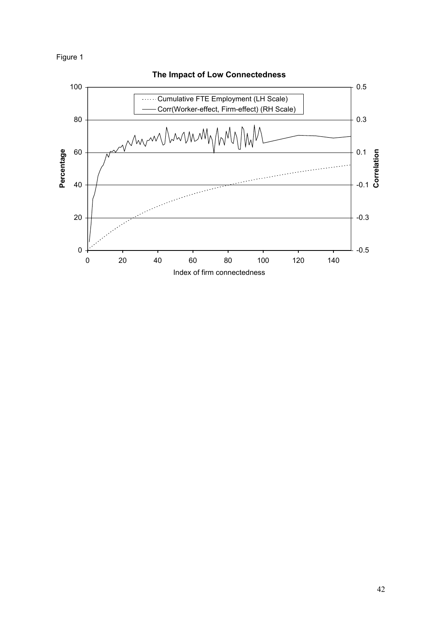Figure 1

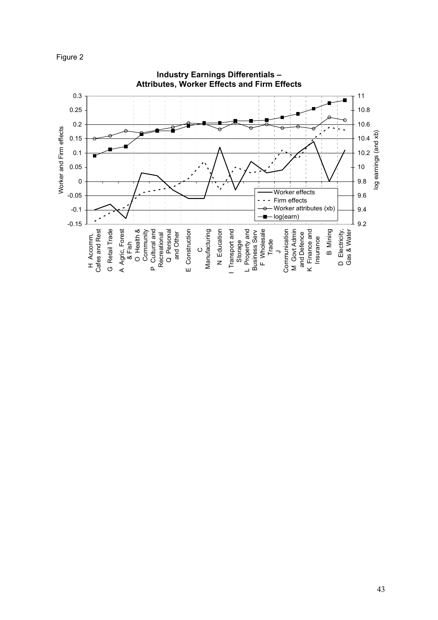

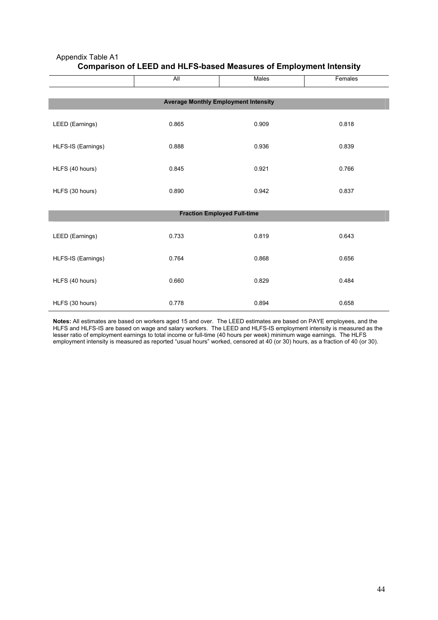|                                             | All   | Males | Females |  |  |  |  |  |  |
|---------------------------------------------|-------|-------|---------|--|--|--|--|--|--|
| <b>Average Monthly Employment Intensity</b> |       |       |         |  |  |  |  |  |  |
| LEED (Earnings)                             | 0.865 | 0.909 | 0.818   |  |  |  |  |  |  |
| HLFS-IS (Earnings)                          | 0.888 | 0.936 | 0.839   |  |  |  |  |  |  |
| HLFS (40 hours)                             | 0.845 | 0.921 | 0.766   |  |  |  |  |  |  |
| HLFS (30 hours)                             | 0.890 | 0.942 | 0.837   |  |  |  |  |  |  |
| <b>Fraction Employed Full-time</b>          |       |       |         |  |  |  |  |  |  |
| LEED (Earnings)                             | 0.733 | 0.819 | 0.643   |  |  |  |  |  |  |
| HLFS-IS (Earnings)                          | 0.764 | 0.868 | 0.656   |  |  |  |  |  |  |
| HLFS (40 hours)                             | 0.660 | 0.829 | 0.484   |  |  |  |  |  |  |
| HLFS (30 hours)                             | 0.778 | 0.894 | 0.658   |  |  |  |  |  |  |

# Appendix Table A1 Comparison of LEED and HLFS-based Measures of Employment Intensity

Notes: All estimates are based on workers aged 15 and over. The LEED estimates are based on PAYE employees, and the HLFS and HLFS-IS are based on wage and salary workers. The LEED and HLFS-IS employment intensity is measured as the lesser ratio of employment earnings to total income or full-time (40 hours per week) minimum wage earnings. The HLFS employment intensity is measured as reported "usual hours" worked, censored at 40 (or 30) hours, as a fraction of 40 (or 30).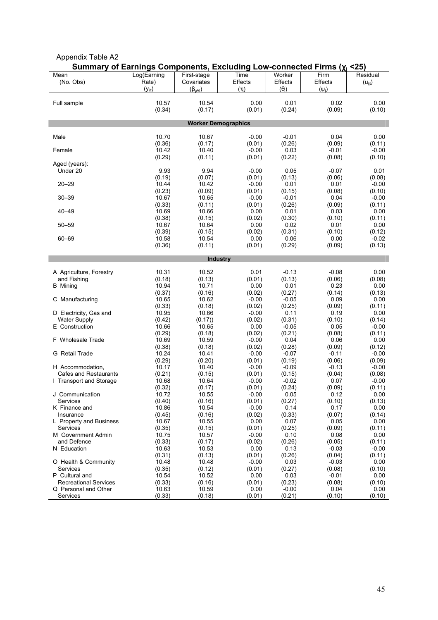|                              |             | un <del>c</del> rita, |                            |              | ∠∪         |             |
|------------------------------|-------------|-----------------------|----------------------------|--------------|------------|-------------|
| Mean                         | Log(Earning | First-stage           | Time                       | Worker       | Firm       | Residual    |
| (No. Obs)                    | Rate)       | Covariates            | Effects                    | Effects      | Effects    | $(u_{ijt})$ |
|                              | $(y_{ijt})$ | $(\beta_{gAt})$       | $(\tau_t)$                 | $(\theta_i)$ | $(\psi_i)$ |             |
|                              |             |                       |                            |              |            |             |
| Full sample                  | 10.57       | 10.54                 | 0.00                       | 0.01         | 0.02       | 0.00        |
|                              | (0.34)      | (0.17)                | (0.01)                     | (0.24)       | (0.09)     | (0.10)      |
|                              |             |                       |                            |              |            |             |
|                              |             |                       | <b>Worker Demographics</b> |              |            |             |
|                              |             |                       |                            |              |            |             |
| Male                         | 10.70       | 10.67                 | $-0.00$                    | $-0.01$      | 0.04       | 0.00        |
|                              | (0.36)      | (0.17)                | (0.01)                     | (0.26)       | (0.09)     | (0.11)      |
| Female                       | 10.42       | 10.40                 | $-0.00$                    | 0.03         | $-0.01$    | $-0.00$     |
|                              | (0.29)      | (0.11)                | (0.01)                     | (0.22)       | (0.08)     | (0.10)      |
| Aged (years):                |             |                       |                            |              |            |             |
| Under 20                     | 9.93        | 9.94                  | $-0.00$                    | 0.05         | $-0.07$    | 0.01        |
|                              | (0.19)      | (0.07)                | (0.01)                     | (0.13)       | (0.06)     | (0.08)      |
| $20 - 29$                    | 10.44       | 10.42                 | $-0.00$                    | 0.01         | 0.01       | $-0.00$     |
|                              | (0.23)      | (0.09)                | (0.01)                     | (0.15)       | (0.08)     | (0.10)      |
| $30 - 39$                    | 10.67       | 10.65                 | $-0.00$                    | $-0.01$      | 0.04       | $-0.00$     |
|                              | (0.33)      | (0.11)                | (0.01)                     | (0.26)       | (0.09)     | (0.11)      |
| $40 - 49$                    | 10.69       | 10.66                 | 0.00                       | 0.01         | 0.03       | 0.00        |
|                              | (0.38)      | (0.15)                | (0.02)                     | (0.30)       | (0.10)     | (0.11)      |
| $50 - 59$                    | 10.67       | 10.64                 | 0.00                       | 0.02         | 0.01       | 0.00        |
|                              |             |                       |                            |              |            |             |
|                              | (0.39)      | (0.15)                | (0.02)                     | (0.31)       | (0.10)     | (0.12)      |
| 60-69                        | 10.58       | 10.54                 | 0.00                       | 0.06         | 0.00       | $-0.02$     |
|                              | (0.36)      | (0.11)                | (0.01)                     | (0.29)       | (0.09)     | (0.13)      |
|                              |             |                       |                            |              |            |             |
|                              |             |                       | <b>Industry</b>            |              |            |             |
|                              |             |                       |                            |              |            |             |
| A Agriculture, Forestry      | 10.31       | 10.52                 | 0.01                       | $-0.13$      | $-0.08$    | 0.00        |
| and Fishing                  | (0.18)      | (0.13)                | (0.01)                     | (0.13)       | (0.06)     | (0.08)      |
| <b>B</b> Mining              | 10.94       | 10.71                 | 0.00                       | 0.01         | 0.23       | 0.00        |
|                              | (0.37)      | (0.16)                | (0.02)                     | (0.27)       | (0.14)     | (0.13)      |
| C Manufacturing              | 10.65       | 10.62                 | $-0.00$                    | $-0.05$      | 0.09       | 0.00        |
|                              | (0.33)      | (0.18)                | (0.02)                     | (0.25)       | (0.09)     | (0.11)      |
| D Electricity, Gas and       | 10.95       | 10.66                 | $-0.00$                    | 0.11         | 0.19       | 0.00        |
| <b>Water Supply</b>          | (0.42)      | (0.17)                | (0.02)                     | (0.31)       | (0.10)     | (0.14)      |
| E Construction               | 10.66       | 10.65                 | 0.00                       | $-0.05$      | 0.05       | $-0.00$     |
|                              | (0.29)      | (0.18)                | (0.02)                     | (0.21)       | (0.08)     | (0.11)      |
| F Wholesale Trade            | 10.69       | 10.59                 | $-0.00$                    | 0.04         | 0.06       | 0.00        |
|                              | (0.38)      | (0.18)                | (0.02)                     | (0.28)       | (0.09)     | (0.12)      |
| G Retail Trade               | 10.24       | 10.41                 | $-0.00$                    | $-0.07$      | $-0.11$    | $-0.00$     |
|                              | (0.29)      | (0.20)                | (0.01)                     | (0.19)       | (0.06)     | (0.09)      |
| H Accommodation,             | 10.17       | 10.40                 | $-0.00$                    | $-0.09$      | $-0.13$    | $-0.00$     |
| <b>Cafes and Restaurants</b> | (0.21)      | (0.15)                | (0.01)                     | (0.15)       | (0.04)     | (0.08)      |
| 1 Transport and Storage      | 10.68       | 10.64                 | $-0.00$                    | $-0.02$      | 0.07       | $-0.00$     |
|                              | (0.32)      | (0.17)                | (0.01)                     | (0.24)       | (0.09)     | (0.11)      |
| J Communication              | 10.72       | 10.55                 | $-0.00$                    | 0.05         | 0.12       | 0.00        |
| Services                     | (0.40)      | (0.16)                | (0.01)                     | (0.27)       | (0.10)     | (0.13)      |
| K Finance and                | 10.86       | 10.54                 | $-0.00$                    | 0.14         | 0.17       | 0.00        |
| Insurance                    | (0.45)      | (0.16)                | (0.02)                     | (0.33)       | (0.07)     | (0.14)      |
| L Property and Business      | 10.67       | 10.55                 | 0.00                       | 0.07         | 0.05       | 0.00        |
| Services                     | (0.35)      | (0.15)                | (0.01)                     | (0.25)       | (0.09)     | (0.11)      |
| M Government Admin           | 10.75       | 10.57                 | $-0.00$                    | 0.10         | 0.08       | 0.00        |
| and Defence                  | (0.33)      | (0.17)                | (0.02)                     | (0.26)       | (0.05)     | (0.11)      |
| N Education                  | 10.63       | 10.53                 | 0.00                       | 0.13         | $-0.03$    | $-0.00$     |
|                              | (0.31)      | (0.13)                | (0.01)                     | (0.26)       | (0.04)     | (0.11)      |
| O Health & Community         | 10.48       | 10.48                 | $-0.00$                    | 0.03         | $-0.03$    | 0.00        |
| Services                     | (0.35)      | (0.12)                | (0.01)                     | (0.27)       | (0.08)     | (0.10)      |
| P Cultural and               |             |                       | 0.00                       |              | $-0.01$    | 0.00        |
|                              | 10.54       | 10.52                 |                            | 0.03         |            |             |
| <b>Recreational Services</b> | (0.33)      | (0.16)                | (0.01)                     | (0.23)       | (0.08)     | (0.10)      |
| Q Personal and Other         | 10.63       | 10.59                 | 0.00                       | $-0.00$      | 0.04       | 0.00        |
| Services                     | (0.33)      | (0.18)                | (0.01)                     | (0.21)       | (0.10)     | (0.10)      |

#### Appendix Table A2 Summary of Earnings Components, Excluding Low-connected Firms (γ; <25)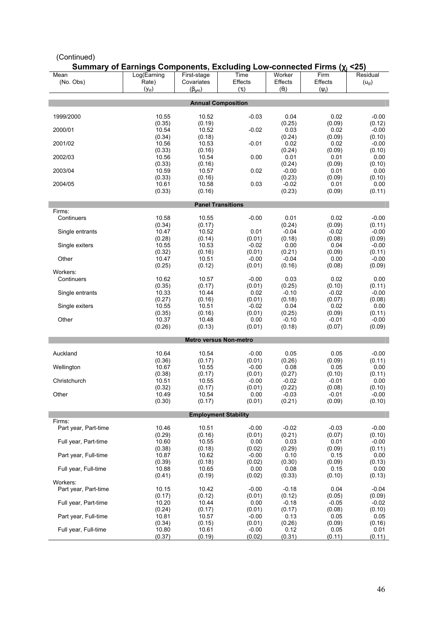| Summary of Earnings Components, Excluding Low-connected Firms $(\chi_i \leq 25)$ |                 |                 |                               |                   |                   |                   |  |  |
|----------------------------------------------------------------------------------|-----------------|-----------------|-------------------------------|-------------------|-------------------|-------------------|--|--|
| Mean                                                                             | Log(Earning     | First-stage     | Time                          | Worker            | Firm              | Residual          |  |  |
| (No. Obs)                                                                        | Rate)           | Covariates      | Effects                       | Effects           | Effects           | $(u_{ijt})$       |  |  |
|                                                                                  | $(y_{ijt})$     | $(\beta_{gAt})$ | $(\tau_t)$                    | $(\theta_i)$      | $(\psi_i)$        |                   |  |  |
|                                                                                  |                 |                 |                               |                   |                   |                   |  |  |
|                                                                                  |                 |                 | <b>Annual Composition</b>     |                   |                   |                   |  |  |
| 1999/2000                                                                        | 10.55           | 10.52           | $-0.03$                       | 0.04              | 0.02              | $-0.00$           |  |  |
|                                                                                  | (0.35)          | (0.19)          |                               | (0.25)            | (0.09)            | (0.12)            |  |  |
| 2000/01                                                                          | 10.54           | 10.52           | $-0.02$                       | 0.03              | 0.02              | $-0.00$           |  |  |
|                                                                                  | (0.34)          | (0.18)          |                               | (0.24)            | (0.09)            | (0.10)            |  |  |
| 2001/02                                                                          | 10.56           | 10.53           | $-0.01$                       | 0.02              | 0.02              | $-0.00$           |  |  |
|                                                                                  | (0.33)          | (0.16)          |                               | (0.24)            | (0.09)            | (0.10)            |  |  |
| 2002/03                                                                          | 10.56           | 10.54           | 0.00                          | 0.01              | 0.01              | 0.00              |  |  |
|                                                                                  | (0.33)          | (0.16)          |                               | (0.24)            | (0.09)            | (0.10)            |  |  |
| 2003/04                                                                          | 10.59           | 10.57           | 0.02                          | $-0.00$           | 0.01              | 0.00              |  |  |
|                                                                                  | (0.33)          | (0.16)          |                               | (0.23)            | (0.09)            | (0.10)            |  |  |
| 2004/05                                                                          | 10.61           | 10.58           | 0.03                          | $-0.02$           | 0.01              | 0.00              |  |  |
|                                                                                  | (0.33)          | (0.16)          |                               | (0.23)            | (0.09)            | (0.11)            |  |  |
| <b>Panel Transitions</b>                                                         |                 |                 |                               |                   |                   |                   |  |  |
| Firms:                                                                           |                 |                 |                               |                   |                   |                   |  |  |
| Continuers                                                                       | 10.58           | 10.55           | $-0.00$                       | 0.01              | 0.02              | $-0.00$           |  |  |
|                                                                                  | (0.34)          | (0.17)          |                               | (0.24)            | (0.09)            | (0.11)            |  |  |
| Single entrants                                                                  | 10.47           | 10.52           | 0.01                          | $-0.04$           | $-0.02$           | $-0.00$           |  |  |
|                                                                                  | (0.28)          | (0.14)          | (0.01)                        | (0.18)            | (0.08)            | (0.09)            |  |  |
| Single exiters                                                                   | 10.55           | 10.53           | $-0.02$                       | 0.00              | 0.04              | $-0.00$           |  |  |
| Other                                                                            | (0.32)<br>10.47 | (0.16)<br>10.51 | (0.01)<br>$-0.00$             | (0.21)<br>$-0.04$ | (0.09)<br>0.00    | (0.11)<br>$-0.00$ |  |  |
|                                                                                  | (0.25)          | (0.12)          | (0.01)                        | (0.16)            | (0.08)            | (0.09)            |  |  |
| Workers:                                                                         |                 |                 |                               |                   |                   |                   |  |  |
| Continuers                                                                       | 10.62           | 10.57           | $-0.00$                       | 0.03              | 0.02              | 0.00              |  |  |
|                                                                                  | (0.35)          | (0.17)          | (0.01)                        | (0.25)            | (0.10)            | (0.11)            |  |  |
| Single entrants                                                                  | 10.33           | 10.44           | 0.02                          | $-0.10$           | $-0.02$           | $-0.00$           |  |  |
|                                                                                  | (0.27)          | (0.16)          | (0.01)                        | (0.18)            | (0.07)            | (0.08)            |  |  |
| Single exiters                                                                   | 10.55           | 10.51           | $-0.02$                       | 0.04              | 0.02              | 0.00              |  |  |
|                                                                                  | (0.35)          | (0.16)          | (0.01)                        | (0.25)            | (0.09)            | (0.11)            |  |  |
| Other                                                                            | 10.37<br>(0.26) | 10.48<br>(0.13) | 0.00<br>(0.01)                | $-0.10$<br>(0.18) | $-0.01$<br>(0.07) | $-0.00$<br>(0.09) |  |  |
|                                                                                  |                 |                 |                               |                   |                   |                   |  |  |
|                                                                                  |                 |                 | <b>Metro versus Non-metro</b> |                   |                   |                   |  |  |
|                                                                                  |                 |                 |                               |                   |                   |                   |  |  |
| Auckland                                                                         | 10.64           | 10.54           | $-0.00$                       | 0.05              | 0.05              | $-0.00$           |  |  |
|                                                                                  | (0.36)          | (0.17)          | (0.01)                        | (0.26)            | (0.09)            | (0.11)            |  |  |
| Wellington                                                                       | 10.67           | 10.55           | $-0.00$                       | 0.08              | 0.05              | 0.00              |  |  |
| Christchurch                                                                     | (0.38)          | (0.17)          | (0.01)<br>$-0.00$             | (0.27)            | (0.10)            | (0.11)            |  |  |
|                                                                                  | 10.51<br>(0.32) | 10.55<br>(0.17) | (0.01)                        | $-0.02$<br>(0.22) | $-0.01$<br>(0.08) | 0.00<br>(0.10)    |  |  |
| Other                                                                            | 10.49           | 10.54           | 0.00                          | $-0.03$           | $-0.01$           | $-0.00$           |  |  |
|                                                                                  | (0.30)          | (0.17)          | (0.01)                        | (0.21)            | (0.09)            | (0.10)            |  |  |
|                                                                                  |                 |                 |                               |                   |                   |                   |  |  |
| <b>Employment Stability</b>                                                      |                 |                 |                               |                   |                   |                   |  |  |
| Firms:                                                                           |                 |                 |                               |                   |                   |                   |  |  |
| Part year, Part-time                                                             | 10.46           | 10.51           | $-0.00$                       | $-0.02$           | $-0.03$           | $-0.00$           |  |  |
|                                                                                  | (0.29)          | (0.16)          | (0.01)                        | (0.21)            | (0.07)            | (0.10)            |  |  |
| Full year, Part-time                                                             | 10.60<br>(0.38) | 10.55<br>(0.18) | 0.00<br>(0.02)                | 0.03<br>(0.29)    | 0.01<br>(0.09)    | $-0.00$<br>(0.11) |  |  |
| Part year, Full-time                                                             | 10.87           | 10.62           | $-0.00$                       | 0.10              | 0.15              | 0.00              |  |  |
|                                                                                  | (0.39)          | (0.18)          | (0.02)                        | (0.30)            | (0.09)            | (0.13)            |  |  |
| Full year, Full-time                                                             | 10.88           | 10.65           | 0.00                          | 0.08              | 0.15              | 0.00              |  |  |
|                                                                                  | (0.41)          | (0.19)          | (0.02)                        | (0.33)            | (0.10)            | (0.13)            |  |  |
| Workers:                                                                         |                 |                 |                               |                   |                   |                   |  |  |
| Part year, Part-time                                                             | 10.15           | 10.42           | $-0.00$                       | $-0.18$           | 0.04              | $-0.04$           |  |  |
|                                                                                  | (0.17)          | (0.12)          | (0.01)                        | (0.12)            | (0.05)            | (0.09)            |  |  |
| Full year, Part-time                                                             | 10.20           | 10.44           | 0.00                          | $-0.18$           | $-0.05$           | $-0.02$           |  |  |
| Part year, Full-time                                                             | (0.24)<br>10.81 | (0.17)<br>10.57 | (0.01)<br>$-0.00$             | (0.17)<br>0.13    | (0.08)<br>0.05    | (0.10)<br>0.05    |  |  |
|                                                                                  | (0.34)          | (0.15)          | (0.01)                        | (0.26)            | (0.09)            | (0.16)            |  |  |
| Full year, Full-time                                                             | 10.80           | 10.61           | $-0.00$                       | 0.12              | 0.05              | 0.01              |  |  |
|                                                                                  | (0.37)          | (0.19)          | (0.02)                        | (0.31)            | (0.11)            | (0.11)            |  |  |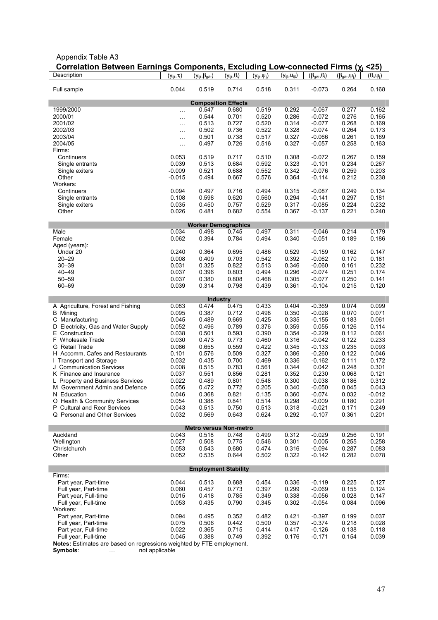| Correlation Between Earnings Components, Excluding Low-connected Firms (xi <25) |                     |                             |                       |                     |                      |                           |                              |                      |
|---------------------------------------------------------------------------------|---------------------|-----------------------------|-----------------------|---------------------|----------------------|---------------------------|------------------------------|----------------------|
| Description                                                                     | $(y_{ijt}, \tau_t)$ | $(y_{ijt}, \beta_{gAt})$    | $(y_{ijt}, \theta_i)$ | $(y_{ijt}, \psi_i)$ | $(y_{ijt}, u_{ijt})$ | $(\beta_{gAt}, \theta_i)$ | $(\beta_{gA_{t}}, \psi_{i})$ | $(\theta_i, \psi_j)$ |
| Full sample                                                                     | 0.044               | 0.519                       | 0.714                 | 0.518               | 0.311                | $-0.073$                  | 0.264                        | 0.168                |
| <b>Composition Effects</b>                                                      |                     |                             |                       |                     |                      |                           |                              |                      |
| 1999/2000                                                                       |                     | 0.547                       | 0.680                 | 0.519               | 0.292                | $-0.067$                  | 0.277                        | 0.162                |
| 2000/01                                                                         | $\ldots$            | 0.544                       | 0.701                 | 0.520               | 0.286                | $-0.072$                  | 0.276                        | 0.165                |
| 2001/02                                                                         | $\ldots$            | 0.513                       | 0.727                 | 0.520               | 0.314                | $-0.077$                  | 0.268                        | 0.169                |
| 2002/03                                                                         | .                   | 0.502                       | 0.736                 | 0.522               | 0.328                | $-0.074$                  | 0.264                        | 0.173                |
| 2003/04                                                                         |                     | 0.501                       | 0.738                 | 0.517               | 0.327                | $-0.066$                  | 0.261                        | 0.169                |
| 2004/05                                                                         | $\ddotsc$           | 0.497                       | 0.726                 | 0.516               | 0.327                | $-0.057$                  | 0.258                        | 0.163                |
| Firms:<br>Continuers                                                            |                     |                             |                       |                     |                      |                           |                              |                      |
| Single entrants                                                                 | 0.053<br>0.039      | 0.519<br>0.513              | 0.717<br>0.684        | 0.510<br>0.592      | 0.308<br>0.323       | $-0.072$<br>$-0.101$      | 0.267<br>0.234               | 0.159<br>0.267       |
| Single exiters                                                                  | $-0.009$            | 0.521                       | 0.688                 | 0.552               | 0.342                | $-0.076$                  | 0.259                        | 0.203                |
| Other                                                                           | $-0.015$            | 0.494                       | 0.667                 | 0.576               | 0.364                | $-0.114$                  | 0.212                        | 0.238                |
| Workers:                                                                        |                     |                             |                       |                     |                      |                           |                              |                      |
| Continuers                                                                      | 0.094               | 0.497                       | 0.716                 | 0.494               | 0.315                | $-0.087$                  | 0.249                        | 0.134                |
| Single entrants                                                                 | 0.108               | 0.598                       | 0.620                 | 0.560               | 0.294                | $-0.141$                  | 0.297                        | 0.181                |
| Single exiters                                                                  | 0.035               | 0.450                       | 0.757                 | 0.529               | 0.317                | $-0.085$                  | 0.224                        | 0.232                |
| Other                                                                           | 0.026               | 0.481                       | 0.682                 | 0.554               | 0.367                | $-0.137$                  | 0.221                        | 0.240                |
|                                                                                 |                     | <b>Worker Demographics</b>  |                       |                     |                      |                           |                              |                      |
| Male                                                                            | 0.034               | 0.498                       | 0.745                 | 0.497               | 0.311                | $-0.046$                  | 0.214                        | 0.179                |
| Female                                                                          | 0.062               | 0.394                       | 0.784                 | 0.494               | 0.340                | $-0.051$                  | 0.189                        | 0.186                |
| Aged (years):                                                                   |                     |                             |                       |                     |                      |                           |                              |                      |
| Under 20                                                                        | 0.240               | 0.364                       | 0.695                 | 0.486               | 0.529                | $-0.159$                  | 0.162                        | 0.147                |
| $20 - 29$                                                                       | 0.008               | 0.409                       | 0.703                 | 0.542               | 0.392                | $-0.062$                  | 0.170                        | 0.181                |
| $30 - 39$                                                                       | 0.031               | 0.325                       | 0.822                 | 0.513               | 0.346                | $-0.060$                  | 0.161                        | 0.232                |
| $40 - 49$<br>$50 - 59$                                                          | 0.037<br>0.037      | 0.396                       | 0.803                 | 0.494               | 0.296<br>0.305       | $-0.074$                  | 0.251                        | 0.174                |
| 60-69                                                                           | 0.039               | 0.380<br>0.314              | 0.808<br>0.798        | 0.468<br>0.439      | 0.361                | $-0.077$<br>$-0.104$      | 0.250<br>0.215               | 0.141<br>0.120       |
|                                                                                 |                     |                             |                       |                     |                      |                           |                              |                      |
|                                                                                 |                     | <b>Industry</b>             |                       |                     |                      |                           |                              |                      |
| A Agriculture, Forest and Fishing                                               | 0.083               | 0.474                       | 0.475                 | 0.433               | 0.404                | $-0.369$                  | 0.074                        | 0.099                |
| <b>B</b> Mining                                                                 | 0.095               | 0.387                       | 0.712                 | 0.498               | 0.350                | $-0.028$                  | 0.070                        | 0.071                |
| C Manufacturing                                                                 | 0.045               | 0.489                       | 0.669                 | 0.425               | 0.335                | $-0.155$                  | 0.183                        | 0.061                |
| D Electricity, Gas and Water Supply                                             | 0.052               | 0.496                       | 0.789                 | 0.376               | 0.359                | 0.055                     | 0.126                        | 0.114                |
| E Construction                                                                  | 0.038               | 0.501                       | 0.593                 | 0.390               | 0.354                | $-0.229$                  | 0.112                        | 0.061                |
| F Wholesale Trade                                                               | 0.030<br>0.086      | 0.473<br>0.655              | 0.773<br>0.559        | 0.460<br>0.422      | 0.316<br>0.345       | $-0.042$                  | 0.122<br>0.235               | 0.233<br>0.093       |
| G Retail Trade<br>H Accomm, Cafes and Restaurants                               | 0.101               | 0.576                       | 0.509                 | 0.327               | 0.386                | $-0.133$<br>$-0.260$      | 0.122                        | 0.046                |
| I Transport and Storage                                                         | 0.032               | 0.435                       | 0.700                 | 0.469               | 0.336                | $-0.162$                  | 0.111                        | 0.172                |
| J Communication Services                                                        | 0.008               | 0.515                       | 0.783                 | 0.561               | 0.344                | 0.042                     | 0.248                        | 0.301                |
| K Finance and Insurance                                                         | 0.037               | 0.551                       | 0.856                 | 0.281               | 0.352                | 0.230                     | 0.068                        | 0.121                |
| L Property and Business Services                                                | 0.022               | 0.489                       | 0.801                 | 0.548               | 0.300                | 0.038                     | 0.186                        | 0.312                |
| M Government Admin and Defence                                                  | 0.056               | 0.472                       | 0.772                 | 0.205               | 0.340                | $-0.050$                  | 0.045                        | 0.043                |
| N Education                                                                     | 0.046               | 0.368                       | 0.821                 | 0.135               | 0.360                | $-0.074$                  | 0.032                        | $-0.012$             |
| O Health & Community Services                                                   | 0.054               | 0.388                       | 0.841                 | 0.514               | 0.298                | $-0.009$                  | 0.180                        | 0.291                |
| P Cultural and Recr Services                                                    | 0.043               | 0.513                       | 0.750                 | 0.513               | 0.318                | $-0.021$                  | 0.171                        | 0.249                |
| Q Personal and Other Services                                                   | 0.032               | 0.569                       | 0.643                 | 0.624               | 0.292                | $-0.107$                  | 0.361                        | 0.201                |
| <b>Metro versus Non-metro</b>                                                   |                     |                             |                       |                     |                      |                           |                              |                      |
| Auckland                                                                        | 0.043               | 0.518                       | 0.748                 | 0.499               | 0.312                | $-0.029$                  | 0.256                        | 0.191                |
| Wellington                                                                      | 0.027               | 0.508                       | 0.775                 | 0.546               | 0.301                | 0.005                     | 0.255                        | 0.258                |
| Christchurch                                                                    | 0.053               | 0.543                       | 0.680                 | 0.474               | 0.316                | $-0.094$                  | 0.287                        | 0.083                |
| Other                                                                           | 0.052               | 0.535                       | 0.644                 | 0.502               | 0.322                | $-0.142$                  | 0.282                        | 0.078                |
|                                                                                 |                     | <b>Employment Stability</b> |                       |                     |                      |                           |                              |                      |
| Firms:                                                                          |                     |                             |                       |                     |                      |                           |                              |                      |
| Part year, Part-time                                                            | 0.044               | 0.513                       | 0.688                 | 0.454               | 0.336                | $-0.119$                  | 0.225                        | 0.127                |
| Full year, Part-time                                                            | 0.060               | 0.457                       | 0.773                 | 0.397               | 0.299                | $-0.069$                  | 0.155                        | 0.124                |
| Part year, Full-time                                                            | 0.015               | 0.418                       | 0.785                 | 0.349               | 0.338                | $-0.056$                  | 0.028                        | 0.147                |
| Full year, Full-time                                                            | 0.053               | 0.435                       | 0.790                 | 0.345               | 0.302                | $-0.054$                  | 0.084                        | 0.096                |
| Workers:                                                                        |                     |                             |                       |                     |                      |                           |                              |                      |
| Part year, Part-time                                                            | 0.094               | 0.495                       | 0.352                 | 0.482               | 0.421                | $-0.397$                  | 0.199                        | 0.037                |
| Full year, Part-time                                                            | 0.075               | 0.506                       | 0.442                 | 0.500               | 0.357                | $-0.374$                  | 0.218                        | 0.028                |
| Part year, Full-time                                                            | 0.022               | 0.365                       | 0.715                 | 0.414               | 0.417                | $-0.126$                  | 0.138                        | 0.118                |
| Full year, Full-time                                                            | 0.045               | 0.388                       | 0.749                 | 0.392               | 0.176                | $-0.171$                  | 0.154                        | 0.039                |

#### Notes: Estimates are based on regressions weighted by FTE employment.

Symbols: … not applicable

Appendix Table A3

47